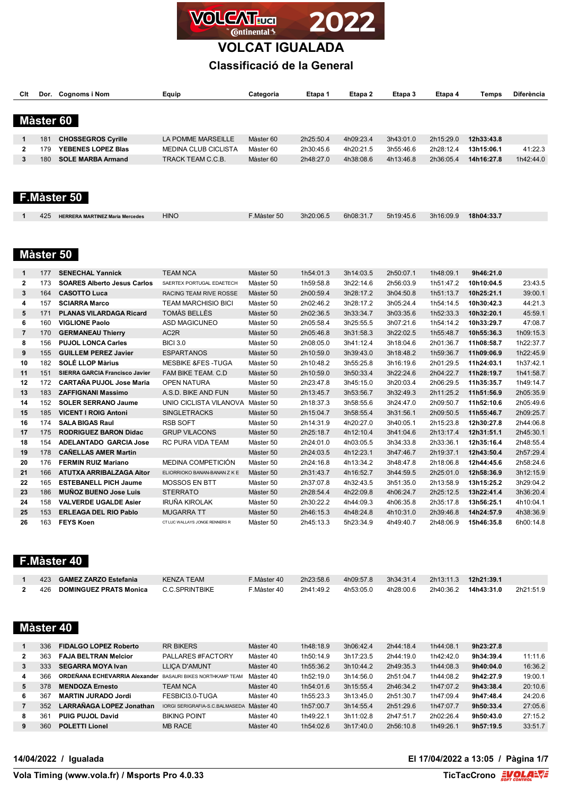

**VOLCAT IGUALADA**

## **Classificació de la General**

| Clt            |           | Dor. Cognoms i Nom                     | Equip                            | Categoria   | Etapa 1   | Etapa 2   | Etapa 3   | Etapa 4   | Temps      | Diferència |
|----------------|-----------|----------------------------------------|----------------------------------|-------------|-----------|-----------|-----------|-----------|------------|------------|
|                |           |                                        |                                  |             |           |           |           |           |            |            |
|                |           |                                        |                                  |             |           |           |           |           |            |            |
|                | Màster 60 |                                        |                                  |             |           |           |           |           |            |            |
| $\mathbf 1$    | 181       | <b>CHOSSEGROS Cyrille</b>              | LA POMME MARSEILLE               | Màster 60   | 2h25:50.4 | 4h09:23.4 | 3h43:01.0 | 2h15:29.0 | 12h33:43.8 |            |
| 2              | 179       | YEBENES LOPEZ Blas                     | <b>MEDINA CLUB CICLISTA</b>      | Màster 60   | 2h30:45.6 | 4h20:21.5 | 3h55:46.6 | 2h28:12.4 | 13h15:06.1 | 41:22.3    |
| 3              | 180       | <b>SOLE MARBA Armand</b>               | TRACK TEAM C.C.B.                | Màster 60   | 2h48:27.0 | 4h38:08.6 | 4h13:46.8 | 2h36:05.4 | 14h16:27.8 | 1h42:44.0  |
|                |           |                                        |                                  |             |           |           |           |           |            |            |
|                |           |                                        |                                  |             |           |           |           |           |            |            |
|                |           |                                        |                                  |             |           |           |           |           |            |            |
|                |           | F.Màster 50                            |                                  |             |           |           |           |           |            |            |
|                |           |                                        |                                  |             |           |           |           |           |            |            |
| 1              | 425       | <b>HERRERA MARTINEZ Maria Mercedes</b> | <b>HINO</b>                      | F.Màster 50 | 3h20:06.5 | 6h08:31.7 | 5h19:45.6 | 3h16:09.9 | 18h04:33.7 |            |
|                |           |                                        |                                  |             |           |           |           |           |            |            |
|                |           |                                        |                                  |             |           |           |           |           |            |            |
|                |           |                                        |                                  |             |           |           |           |           |            |            |
|                |           | Màster 50                              |                                  |             |           |           |           |           |            |            |
| 1              | 177       | <b>SENECHAL Yannick</b>                | <b>TEAM NCA</b>                  | Màster 50   | 1h54:01.3 | 3h14:03.5 | 2h50:07.1 | 1h48:09.1 | 9h46:21.0  |            |
| $\mathbf{2}$   | 173       | <b>SOARES Alberto Jesus Carlos</b>     | SAERTEX PORTUGAL EDAETECH        | Màster 50   | 1h59:58.8 | 3h22:14.6 | 2h56:03.9 | 1h51:47.2 | 10h10:04.5 | 23:43.5    |
| 3              | 164       | <b>CASOTTO Luca</b>                    | RACING TEAM RIVE ROSSE           | Màster 50   | 2h00:59.4 | 3h28:17.2 | 3h04:50.8 | 1h51:13.7 | 10h25:21.1 | 39:00.1    |
| 4              | 157       | <b>SCIARRA Marco</b>                   | <b>TEAM MARCHISIO BICI</b>       | Màster 50   | 2h02:46.2 | 3h28:17.2 | 3h05:24.4 | 1h54:14.5 | 10h30:42.3 | 44:21.3    |
| 5              | 171       | <b>PLANAS VILARDAGA Ricard</b>         | TOMÀS BELLÈS                     | Màster 50   | 2h02:36.5 | 3h33:34.7 | 3h03:35.6 | 1h52:33.3 | 10h32:20.1 | 45:59.1    |
| 6              | 160       | <b>VIGLIONE Paolo</b>                  | ASD MAGICUNEO                    | Màster 50   | 2h05:58.4 | 3h25:55.5 | 3h07:21.6 | 1h54:14.2 | 10h33:29.7 | 47:08.7    |
| $\overline{7}$ | 170       | <b>GERMANEAU Thierry</b>               | AC2R                             | Màster 50   | 2h05:46.8 | 3h31:58.3 | 3h22:02.5 | 1h55:48.7 | 10h55:36.3 | 1h09:15.3  |
| 8              | 156       | <b>PUJOL LONCA Carles</b>              | <b>BICI 3.0</b>                  | Màster 50   | 2h08:05.0 | 3h41:12.4 | 3h18:04.6 | 2h01:36.7 | 11h08:58.7 | 1h22:37.7  |
| 9              | 155       | <b>GUILLEM PEREZ Javier</b>            | <b>ESPARTANOS</b>                | Màster 50   | 2h10:59.0 | 3h39:43.0 | 3h18:48.2 | 1h59:36.7 | 11h09:06.9 | 1h22:45.9  |
| 10             | 182       | <b>SOLÉ LLOP Màrius</b>                | <b>MESBIKE &amp;FES-TUGA</b>     | Màster 50   | 2h10:48.2 | 3h55:25.8 | 3h16:19.6 | 2h01:29.5 | 11h24:03.1 | 1h37:42.1  |
| 11             | 151       | SIERRA GARCIA Francisco Javier         | <b>FAM BIKE TEAM, C.D.</b>       | Màster 50   | 2h10:59.0 | 3h50:33.4 | 3h22:24.6 | 2h04:22.7 | 11h28:19.7 | 1h41:58.7  |
| 12             | 172       | <b>CARTAÑA PUJOL Jose Maria</b>        | <b>OPEN NATURA</b>               | Màster 50   | 2h23:47.8 | 3h45:15.0 | 3h20:03.4 | 2h06:29.5 | 11h35:35.7 | 1h49:14.7  |
| 13             | 183       | <b>ZAFFIGNANI Massimo</b>              | A.S.D. BIKE AND FUN              | Màster 50   | 2h13:45.7 | 3h53:56.7 | 3h32:49.3 | 2h11:25.2 | 11h51:56.9 | 2h05:35.9  |
| 14             | 152       | <b>SOLER SERRANO Jaume</b>             | UNIO CICLISTA VILANOVA Màster 50 |             | 2h18:37.3 | 3h58:55.6 | 3h24:47.0 | 2h09:50.7 | 11h52:10.6 | 2h05:49.6  |
| 15             | 185       | <b>VICENT I ROIG Antoni</b>            | <b>SINGLETRACKS</b>              | Màster 50   | 2h15:04.7 | 3h58:55.4 | 3h31:56.1 | 2h09:50.5 | 11h55:46.7 | 2h09:25.7  |
| 16             | 174       | <b>SALA BIGAS Raul</b>                 | <b>RSB SOFT</b>                  | Màster 50   | 2h14:31.9 | 4h20:27.0 | 3h40:05.1 | 2h15:23.8 | 12h30:27.8 | 2h44:06.8  |
| 17             | 175       | <b>RODRIGUEZ BARON Didac</b>           | <b>GRUP VILACONS</b>             | Màster 50   | 2h25:18.7 | 4h12:10.4 | 3h41:04.6 | 2h13:17.4 | 12h31:51.1 | 2h45:30.1  |
| 18             | 154       | <b>ADELANTADO GARCIA Jose</b>          | RC PURA VIDA TEAM                | Màster 50   | 2h24:01.0 | 4h03:05.5 | 3h34:33.8 | 2h33:36.1 | 12h35:16.4 | 2h48:55.4  |
| 19             | 178       | <b>CAÑELLAS AMER Martin</b>            |                                  | Màster 50   | 2h24:03.5 | 4h12:23.1 | 3h47:46.7 | 2h19:37.1 | 12h43:50.4 | 2h57:29.4  |
| 20             | 176       | <b>FERMIN RUIZ Mariano</b>             | MEDINA COMPETICIÓN               | Màster 50   | 2h24:16.8 | 4h13:34.2 | 3h48:47.8 | 2h18:06.8 | 12h44:45.6 | 2h58:24.6  |
| 21             | 166       | ATUTXA ARRIBALZAGA Aitor               | ELIORRIOKO BANAN-BANAN Z K E     | Màster 50   | 2h31:43.7 | 4h16:52.7 | 3h44:59.5 | 2h25:01.0 | 12h58:36.9 | 3h12:15.9  |
| 22             | 165       | <b>ESTEBANELL PICH Jaume</b>           | MOSSOS EN BTT                    | Màster 50   | 2h37:07.8 | 4h32:43.5 | 3h51:35.0 | 2h13:58.9 | 13h15:25.2 | 3h29:04.2  |
| 23             | 186       | <b>MUNOZ BUENO Jose Luis</b>           | <b>STERRATO</b>                  | Màster 50   | 2h28:54.4 | 4h22:09.8 | 4h06:24.7 | 2h25:12.5 | 13h22:41.4 | 3h36:20.4  |
| 24             | 158       | <b>VALVERDE UGALDE Asier</b>           | <b>IRUÑA KIROLAK</b>             | Màster 50   | 2h30:22.2 | 4h44:09.3 | 4h06:35.8 | 2h35:17.8 | 13h56:25.1 | 4h10:04.1  |
| 25             | 153       | <b>ERLEAGA DEL RIO Pablo</b>           | <b>MUGARRA TT</b>                | Màster 50   | 2h46:15.3 | 4h48:24.8 | 4h10:31.0 | 2h39:46.8 | 14h24:57.9 | 4h38:36.9  |

## **F.Màster 40**

| 423 | <b>GAMEZ ZARZO Estefania</b>  | <b>KENZA TEAM</b> | F.Màster 40 | 2h23:58.6 | 4h09:57.8 | 3h34:31.4 | 2h13:11.3 | 12h21:39.1 |           |
|-----|-------------------------------|-------------------|-------------|-----------|-----------|-----------|-----------|------------|-----------|
| 426 | <b>DOMINGUEZ PRATS Monica</b> | C.C.SPRINTBIKE    | F.Màster 40 | 2h41:49.2 | 4h53:05.0 | 4h28:00.6 | 2h40:36.2 | 14h43:31.0 | 2h21:51.9 |

163 **FEYS Koen** CT LUC WALLAYS JONGE RENNERS R Màster 50 2h45:13.3 5h23:34.9 4h49:40.7 2h48:06.9 **15h46:35.8** 6h00:14.8

### **Màster 40**

|    | 336             | <b>FIDALGO LOPEZ Roberto</b>                                      | <b>RR BIKERS</b>               | Màster 40 | 1h48:18.9 | 3h06:42.4 | 2h44:18.4 | 1h44:08.1 | 9h23:27.8 |         |
|----|-----------------|-------------------------------------------------------------------|--------------------------------|-----------|-----------|-----------|-----------|-----------|-----------|---------|
| 2  | 363             | <b>FAJA BELTRAN Melcior</b>                                       | PALLARES #FACTORY              | Màster 40 | 1h50:14.9 | 3h17:23.5 | 2h44:19.0 | 1h42:42.0 | 9h34:39.4 | 11:11.6 |
| 3  | 333             | <b>SEGARRA MOYA Ivan</b>                                          | <b>LLICA D'AMUNT</b>           | Màster 40 | 1h55:36.2 | 3h10:44.2 | 2h49:35.3 | 1h44:08.3 | 9h40:04.0 | 16:36.2 |
| 4  | 366             | <b>ORDEÑANA ECHEVARRIA Alexander</b> BASAURI BIKES NORTHKAMP TEAM |                                | Màster 40 | 1h52:19.0 | 3h14:56.0 | 2h51:04.7 | 1h44:08.2 | 9h42:27.9 | 19:00.1 |
| 5. | 378             | <b>MENDOZA Ernesto</b>                                            | TEAM NCA                       | Màster 40 | 1h54:01.6 | 3h15:55.4 | 2h46:34.2 | 1h47:07.2 | 9h43:38.4 | 20:10.6 |
| 6  | 36              | <b>MARTIN JURADO Jordi</b>                                        | FESBICI3.0-TUGA                | Màster 40 | 1h55:23.3 | 3h13:45.0 | 2h51:30.7 | 1h47:09.4 | 9h47:48.4 | 24:20.6 |
|    | 352             | LARRAÑAGA LOPEZ Jonathan                                          | IORGI SERIGRAFIA-S.C.BALMASEDA | Màster 40 | 1h57:00.7 | 3h14:55.4 | 2h51:29.6 | 1h47:07.7 | 9h50:33.4 | 27:05.6 |
| 8  | 36 <sup>°</sup> | <b>PUIG PUJOL David</b>                                           | <b>BIKING POINT</b>            | Màster 40 | 1h49:22.1 | 3h11:02.8 | 2h47:51.7 | 2h02:26.4 | 9h50:43.0 | 27:15.2 |
| 9. | 360             | <b>POLETTI Lionel</b>                                             | <b>MB RACE</b>                 | Màster 40 | 1h54:02.6 | 3h17:40.0 | 2h56:10.8 | 1h49:26.1 | 9h57:19.5 | 33:51.7 |
|    |                 |                                                                   |                                |           |           |           |           |           |           |         |

**14/04/2022 / Igualada El 17/04/2022 a 13:05 / Pàgina 1/7**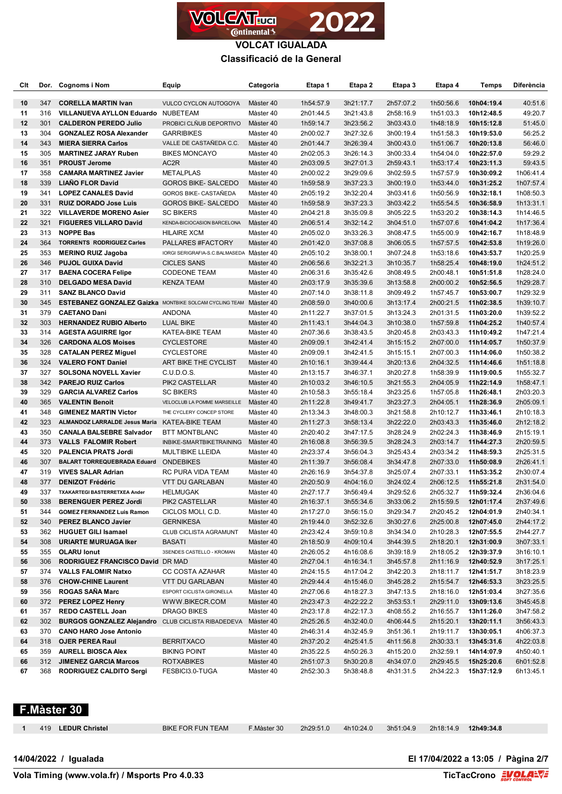

| Clt      |            | Dor. Cognoms i Nom                                             | Equip                                            | Categoria              | Etapa 1                | Etapa 2                | Etapa 3                | Etapa 4                | <b>Temps</b>             | <b>Diferència</b>      |
|----------|------------|----------------------------------------------------------------|--------------------------------------------------|------------------------|------------------------|------------------------|------------------------|------------------------|--------------------------|------------------------|
| 10       | 347        | <b>CORELLA MARTIN Ivan</b>                                     | <b>VULCO CYCLON AUTOGOYA</b>                     | Màster 40              | 1h54:57.9              | 3h21:17.7              | 2h57:07.2              | 1h50:56.6              | 10h04:19.4               | 40:51.6                |
| 11       | 316        | VILLANUEVA AYLLON Eduardo NUBETEAM                             |                                                  | Màster 40              | 2h01:44.5              | 3h21:43.8              | 2h58:16.9              | 1h51:03.3              | 10h12:48.5               | 49:20.7                |
| 12       | 301        | <b>CALDERON PEREDO Julio</b>                                   | PROBICI CLÑUB DEPORTIVO                          | Màster 40              | 1h59:14.7              | 3h23:56.2              | 3h03:43.0              | 1h48:18.9              | 10h15:12.8               | 51:45.0                |
| 13       | 304        | <b>GONZALEZ ROSA Alexander</b>                                 | <b>GARRIBIKES</b>                                | Màster 40              | 2h00:02.7              | 3h27:32.6              | 3h00:19.4              | 1h51:58.3              | 10h19:53.0               | 56:25.2                |
| 14       | 343        | <b>MIERA SIERRA Carlos</b>                                     | VALLE DE CASTAÑEDA C.C.                          | Màster 40              | 2h01:44.7              | 3h26:39.4              | 3h00:43.0              | 1h51:06.7              | 10h20:13.8               | 56:46.0                |
| 15       | 305        | <b>MARTINEZ JARAY Ruben</b>                                    | <b>BIKES MONCAYO</b>                             | Màster 40              | 2h02:05.3              | 3h26:14.3              | 3h00:33.4              | 1h54:04.0              | 10h22:57.0               | 59:29.2                |
| 16       | 351        | <b>PROUST Jerome</b>                                           | AC <sub>2</sub> R                                | Màster 40              | 2h03:09.5              | 3h27:01.3              | 2h59:43.1              | 1h53:17.4              | 10h23:11.3               | 59:43.5                |
| 17       | 358        | <b>CAMARA MARTINEZ Javier</b>                                  | <b>METALPLAS</b>                                 | Màster 40              | 2h00:02.2              | 3h29:09.6              | 3h02:59.5              | 1h57:57.9              | 10h30:09.2               | 1h06:41.4              |
| 18       | 339        | <b>LIANO FLOR David</b>                                        | <b>GOROS BIKE- SALCEDO</b>                       | Màster 40              | 1h59:58.9              | 3h37:23.3              | 3h00:19.0              | 1h53:44.0              | 10h31:25.2               | 1h07:57.4              |
| 19       | 341        | <b>LOPEZ CANALES David</b>                                     | <b>GOROS BIKE- CASTAÑEDA</b>                     | Màster 40              | 2h05:19.2              | 3h32:20.4              | 3h03:41.6              | 1h50:56.9              | 10h32:18.1               | 1h08:50.3              |
| 20       | 331        | <b>RUIZ DORADO Jose Luis</b>                                   | <b>GOROS BIKE- SALCEDO</b>                       | Màster 40              | 1h59:58.9              | 3h37:23.3              | 3h03:42.2              | 1h55:54.5              | 10h36:58.9               | 1h13:31.1              |
| 21       | 322        | <b>VILLAVERDE MORENO Asier</b>                                 | <b>SC BIKERS</b>                                 | Màster 40              | 2h04:21.8              | 3h35:09.8              | 3h05:22.5              | 1h53:20.2              | 10h38:14.3               | 1h14:46.5              |
| 22       | 321        | <b>FIGUERES VILLARO David</b>                                  | KENDA-BICIOCASION BARCELONA                      | Màster 40              | 2h06:51.4              | 3h32:14.2              | 3h04:51.0              | 1h57:07.6              | 10h41:04.2               | 1h17:36.4              |
| 23       | 313        | <b>NOPPE Bas</b>                                               | <b>HILAIRE XCM</b>                               | Màster 40              | 2h05:02.0              | 3h33:26.3              | 3h08:47.5              | 1h55:00.9              | 10h42:16.7               | 1h18:48.9              |
| 24       | 364        | <b>TORRENTS RODRIGUEZ Carles</b>                               | PALLARES #FACTORY                                | Màster 40              | 2h01:42.0              | 3h37:08.8              | 3h06:05.5              | 1h57:57.5              | 10h42:53.8               | 1h19:26.0              |
| 25       | 353        | <b>MERINO RUIZ Jagoba</b>                                      | IORGI SERIGRAFIA-S.C. BALMASEDA Màster 40        |                        | 2h05:10.2              | 3h38:00.1              | 3h07:24.8              | 1h53:18.6              | 10h43:53.7               | 1h20:25.9              |
| 26       | 346        | <b>PUJOL GUIXA David</b>                                       | <b>CICLES SANS</b>                               | Màster 40              | 2h06:56.6              | 3h32:21.3              | 3h10:35.7              | 1h58:25.4              | 10h48:19.0               | 1h24:51.2              |
| 27       | 317        | <b>BAENA COCERA Felipe</b>                                     | <b>CODEONE TEAM</b>                              | Màster 40              | 2h06:31.6              | 3h35:42.6              | 3h08:49.5              | 2h00:48.1              | 10h51:51.8               | 1h28:24.0              |
| 28       | 310        | <b>DELGADO MESA David</b>                                      | KENZA TEAM                                       | Màster 40              | 2h03:17.9              | 3h35:39.6              | 3h13:58.8              | 2h00:00.2              | 10h52:56.5               | 1h29:28.7              |
| 29       | 311        | <b>SANZ BLANCO David</b>                                       |                                                  | Màster 40              | 2h07:14.0              | 3h38:11.8              | 3h09:49.2              | 1h57:45.7              | 10h53:00.7               | 1h29:32.9              |
| 30       | 345        | <b>ESTEBANEZ GONZALEZ Gaizka</b> MONTBIKE SOLCAM CYCLING TEAM  |                                                  | Màster 40              | 2h08:59.0              | 3h40:00.6              | 3h13:17.4              | 2h00:21.5              | 11h02:38.5               | 1h39:10.7              |
| 31       | 379        | <b>CAETANO Dani</b>                                            | ANDONA                                           | Màster 40              | 2h11:22.7              | 3h37:01.5              | 3h13:24.3              | 2h01:31.5              | 11h03:20.0               | 1h39:52.2              |
| 32       | 303        | <b>HERNANDEZ RUBIO Alberto</b>                                 | LUAL BIKE                                        | Màster 40              | 2h11:43.1              | 3h44:04.3              | 3h10:38.0              | 1h57:59.8              | 11h04:25.2               | 1h40:57.4              |
| 33       | 314        | <b>AGESTA AGUIRRE Igor</b>                                     | KATEA-BIKE TEAM                                  | Màster 40              | 2h07:36.6              | 3h38:43.5              | 3h20:45.8              | 2h03:43.3              | 11h10:49.2               | 1h47:21.4              |
| 34       | 326        | <b>CARDONA ALOS Moises</b>                                     | <b>CYCLESTORE</b>                                | Màster 40              | 2h09:09.1              | 3h42:41.4              | 3h15:15.2              | 2h07:00.0              | 11h14:05.7               | 1h50:37.9              |
| 35       | 328        | <b>CATALAN PEREZ Miguel</b>                                    | <b>CYCLESTORE</b>                                | Màster 40              | 2h09:09.1              | 3h42:41.5              | 3h15:15.1              | 2h07:00.3              | 11h14:06.0               | 1h50:38.2              |
| 36       | 324        | <b>VALERO FONT Daniel</b>                                      | ART BIKE THE CYCLIST                             | Màster 40              | 2h10:16.1              | 3h39:44.4              | 3h20:13.6              | 2h04:32.5              | 11h14:46.6               | 1h51:18.8              |
| 37       | 327        | <b>SOLSONA NOVELL Xavier</b>                                   | C.U.D.O.S.                                       | Màster 40              | 2h13:15.7              | 3h46:37.1              | 3h20:27.8              | 1h58:39.9              | 11h19:00.5               | 1h55:32.7              |
| 38       | 342        | <b>PAREJO RUIZ Carlos</b>                                      | PIK2 CASTELLAR                                   | Màster 40              | 2h10:03.2              | 3h46:10.5              | 3h21:55.3              | 2h04:05.9              | 11h22:14.9               | 1h58:47.1              |
| 39       | 329        | <b>GARCIA ALVAREZ Carlos</b>                                   | <b>SC BIKERS</b>                                 | Màster 40              | 2h10:58.3              | 3h55:18.4              | 3h23:25.6              | 1h57:05.8              | 11h26:48.1               | 2h03:20.3              |
| 40       | 365        | <b>VALENTIN Benoit</b>                                         | VELOCLUB LA POMME MARSEILLE                      | Màster 40              | 2h11:22.8              | 3h49:41.7              | 3h23:27.3              | 2h04:05.1              | 11h28:36.9               | 2h05:09.1              |
| 41       | 348        | <b>GIMENEZ MARTIN Victor</b>                                   | THE CYCLERY CONCEP STORE                         | Màster 40              | 2h13:34.3              | 3h48:00.3              | 3h21:58.8              | 2h10:12.7              | 11h33:46.1               | 2h10:18.3              |
| 42       | 323<br>350 | ALMANDOZ LARRALDE Jesus Maria KATEA-BIKE TEAM                  |                                                  | Màster 40              | 2h11:27.3              | 3h58:13.4              | 3h22:22.0              | 2h03:43.3              | 11h35:46.0               | 2h12:18.2              |
| 43<br>44 | 373        | <b>CANALA BALSEBRE Salvador</b><br><b>VALLS FALOMIR Robert</b> | <b>BTT MONTBLANC</b><br>INBIKE-SMARTBIKETRAINING | Màster 40<br>Màster 40 | 2h20:40.2<br>2h16:08.8 | 3h47:17.5<br>3h56:39.5 | 3h28:24.9<br>3h28:24.3 | 2h02:24.3<br>2h03:14.7 | 11h38:46.9<br>11h44:27.3 | 2h15:19.1              |
| 45       | 320        | <b>PALENCIA PRATS Jordi</b>                                    | MULTIBIKE LLEIDA                                 | Màster 40              | 2h23:37.4              | 3h56:04.3              | 3h25:43.4              | 2h03:34.2              | 11h48:59.3               | 2h20:59.5<br>2h25:31.5 |
| 46       | 307        | BALART TORREQUEBRADA Eduard ONDEBIKES                          |                                                  | Màster 40              | 2h11:39.7              | 3h56:08.4              | 3h34:47.8              | 2h07:33.0              | 11h50:08.9               | 2h26:41.1              |
| 47       | 319        | <b>VIVES SALAR Adrian</b>                                      | RC PURA VIDA TEAM                                | Màster 40              | 2h26:16.9              | 3h54:37.8              | 3h25:07.4              | 2h07:33.1              | 11h53:35.2               | 2h30:07.4              |
| 48       | 377        | <b>DENIZOT Frédéric</b>                                        | <b>VTT DU GARLABAN</b>                           | Màster 40              | 2h20:50.9              | 4h04:16.0              | 3h24:02.4              | 2h06:12.5              | 11h55:21.8               | 2h31:54.0              |
| 49       | 337        | TXAKARTEGI BASTERRETXEA Ander                                  | <b>HELMUGAK</b>                                  | Màster 40              | 2h27:17.7              | 3h56:49.4              | 3h29:52.6              | 2h05:32.7              | 11h59:32.4               | 2h36:04.6              |
| 50       | 338        | <b>BERENGUER PEREZ Jordi</b>                                   | PIK2 CASTELLAR                                   | Màster 40              | 2h16:37.1              | 3h55:34.6              | 3h33:06.2              | 2h15:59.5 12h01:17.4   |                          | 2h37:49.6              |
| 51       | 344        | <b>GOMEZ FERNANDEZ Luis Ramon</b>                              | CICLOS MOLI, C.D.                                | Màster 40              | 2h17:27.0              | 3h56:15.0              | 3h29:34.7              | 2h20:45.2              | 12h04:01.9               | 2h40:34.1              |
| 52       | 340        | <b>PEREZ BLANCO Javier</b>                                     | <b>GERNIKESA</b>                                 | Màster 40              | 2h19:44.0              | 3h52:32.6              | 3h30:27.6              | 2h25:00.8              | 12h07:45.0               | 2h44:17.2              |
| 53       | 362        | <b>HUGUET GILI Isamael</b>                                     | CLUB CICLISTA AGRAMUNT                           | Màster 40              | 2h23:42.4              | 3h59:10.8              | 3h34:34.0              | 2h10:28.3              | 12h07:55.5               | 2h44:27.7              |
| 54       | 308        | <b>URIARTE MURUAGA Iker</b>                                    | <b>BASATI</b>                                    | Màster 40              | 2h18:50.9              | 4h09:10.4              | 3h44:39.5              | 2h18:20.1              | 12h31:00.9               | 3h07:33.1              |
| 55       | 355        | <b>OLARU lonut</b>                                             | 3SENDES CASTELLO - KROMAN                        | Màster 40              | 2h26:05.2              | 4h16:08.6              | 3h39:18.9              | 2h18:05.2              | 12h39:37.9               | 3h16:10.1              |
| 56       | 306        | RODRIGUEZ FRANCISCO David DR MAD                               |                                                  | Màster 40              | 2h27:04.1              | 4h16:34.1              | 3h45:57.8              | 2h11:16.9              | 12h40:52.9               | 3h17:25.1              |
| 57       | 374        | <b>VALLS FALOMIR Natxo</b>                                     | CC COSTA AZAHAR                                  | Màster 40              | 2h24:15.5              | 4h17:04.2              | 3h42:20.3              | 2h18:11.7              | 12h41:51.7               | 3h18:23.9              |
| 58       | 376        | <b>CHOW-CHINE Laurent</b>                                      | <b>VTT DU GARLABAN</b>                           | Màster 40              | 2h29:44.4              | 4h15:46.0              | 3h45:28.2              | 2h15:54.7              | 12h46:53.3               | 3h23:25.5              |
| 59       | 356        | ROGAS SAÑA Marc                                                | ESPORT CICLISTA GIRONELLA                        | Màster 40              | 2h27:06.6              | 4h18:27.3              | 3h47:13.5              | 2h18:16.0              | 12h51:03.4               | 3h27:35.6              |
| 60       | 372        | <b>PEREZ LOPEZ Henry</b>                                       | WWW.BIKECR.COM                                   | Màster 40              | 2h23:47.3              | 4h22:22.2              | 3h53:53.1              | 2h29:11.0              | 13h09:13.6               | 3h45:45.8              |
| 61       | 357        | <b>REDO CASTELL Joan</b>                                       | DRAGO BIKES                                      | Màster 40              | 2h23:17.8              | 4h22:17.3              | 4h08:55.2              | 2h16:55.7              | 13h11:26.0               | 3h47:58.2              |
| 62       | 302        | <b>BURGOS GONZALEZ Alejandro</b> CLUB CICLISTA RIBADEDEVA      |                                                  | Màster 40              | 2h25:26.5              | 4h32:40.0              | 4h06:44.5              | 2h15:20.1              | 13h20:11.1               | 3h56:43.3              |
| 63       | 370        | <b>CANO HARO Jose Antonio</b>                                  |                                                  | Màster 40              | 2h46:31.4              | 4h32:45.9              | 3h51:36.1              | 2h19:11.7              | 13h30:05.1               | 4h06:37.3              |
| 64       | 318        | <b>OJER PEREA Raul</b>                                         | <b>BERRITXACO</b>                                | Màster 40              | 2h37:20.2              | 4h25:41.5              | 4h11:56.8              | 2h30:33.1              | 13h45:31.6               | 4h22:03.8              |
| 65       | 359        | <b>AURELL BIOSCA Alex</b>                                      | <b>BIKING POINT</b>                              | Màster 40              | 2h35:22.5              | 4h50:26.3              | 4h15:20.0              | 2h32:59.1              | 14h14:07.9               | 4h50:40.1              |
| 66       | 312        | <b>JIMENEZ GARCIA Marcos</b>                                   | ROTXABIKES                                       | Màster 40              | 2h51:07.3              | 5h30:20.8              | 4h34:07.0              | 2h29:45.5              | 15h25:20.6               | 6h01:52.8              |
| 67       | 368        | <b>RODRIGUEZ CALDITO Sergi</b>                                 | FESBICI3.0-TUGA                                  | Màster 40              | 2h52:30.3              | 5h38:48.8              | 4h31:31.5              | 2h34:22.3              | 15h37:12.9               | 6h13:45.1              |

### **F.Màster 30**

| BIKE FOR FUN TEAM<br>419 LEDUR Christel | 2h29:51.0 4h10:24.0<br>F.Màster 30 |  |  |  |  |
|-----------------------------------------|------------------------------------|--|--|--|--|
|-----------------------------------------|------------------------------------|--|--|--|--|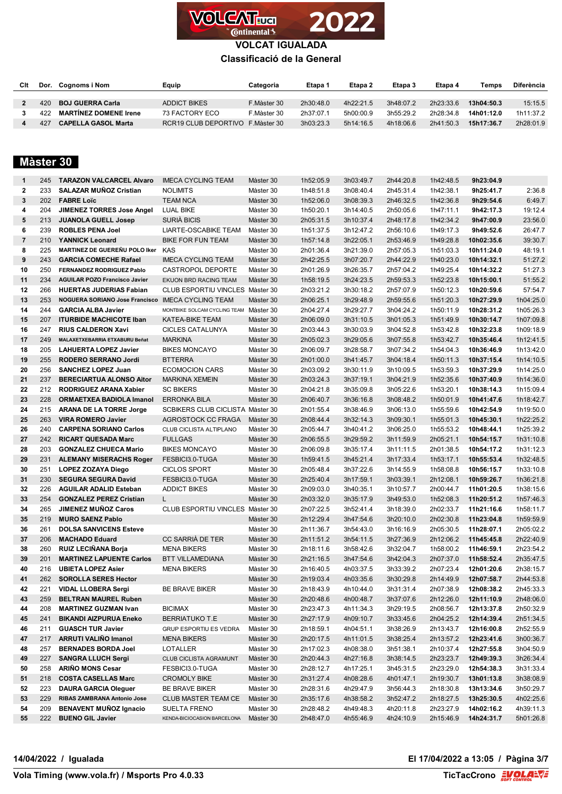

**VOLCAT IGUALADA**

#### **Classificació de la General**

| Clt | Dor. | Cognoms i Nom                | Equip                             | Categoria   | Etapa 1   | Etapa 2   | Etapa 3   | Etapa 4   | Temps      | Diferència |
|-----|------|------------------------------|-----------------------------------|-------------|-----------|-----------|-----------|-----------|------------|------------|
|     |      |                              |                                   |             |           |           |           |           |            |            |
|     | 420. | <b>BOJ GUERRA Carla</b>      | ADDICT BIKES                      | F.Màster 30 | 2h30:48.0 | 4h22:21.5 | 3h48:07.2 | 2h23:33.6 | 13h04:50.3 | 15:15.5    |
|     | 422. | <b>MARTÍNEZ DOMENE Irene</b> | 73 FACTORY ECO                    | F.Màster 30 | 2h37:07.1 | 5h00:00.9 | 3h55:29.2 | 2h28:34.8 | 14h01:12.0 | 1h11:37.2  |
|     | 427  | <b>CAPELLA GASOL Marta</b>   | RCR19 CLUB DEPORTIVO F. Master 30 |             | 3h03:23.3 | 5h14:16.5 | 4h18:06.6 | 2h41:50.3 | 15h17:36.7 | 2h28:01.9  |

# **Màster 30**

| $\mathbf{1}$   | 245 | <b>TARAZON VALCARCEL Alvaro</b>       | <b>IMECA CYCLING TEAM</b>              | Màster 30 | 1h52:05.9 | 3h03:49.7 | 2h44:20.8 | 1h42:48.5 | 9h23:04.9  |           |
|----------------|-----|---------------------------------------|----------------------------------------|-----------|-----------|-----------|-----------|-----------|------------|-----------|
| $\mathbf{2}$   | 233 | <b>SALAZAR MUNOZ Cristian</b>         | <b>NOLIMITS</b>                        | Màster 30 | 1h48:51.8 | 3h08:40.4 | 2h45:31.4 | 1h42:38.1 | 9h25:41.7  | 2:36.8    |
| 3              | 202 | <b>FABRE Loïc</b>                     | <b>TEAM NCA</b>                        | Màster 30 | 1h52:06.0 | 3h08:39.3 | 2h46:32.5 | 1h42:36.8 | 9h29:54.6  | 6:49.7    |
| 4              | 204 | <b>JIMENEZ TORRES Jose Angel</b>      | <b>LUAL BIKE</b>                       | Màster 30 | 1h50:20.1 | 3h14:40.5 | 2h50:05.6 | 1h47:11.1 | 9h42:17.3  | 19:12.4   |
| 5              | 213 | <b>JUANOLA GUELL Josep</b>            | SURIÁ BICIS                            | Màster 30 | 2h05:31.5 | 3h10:37.4 | 2h48:17.8 | 1h42:34.2 | 9h47:00.9  | 23:56.0   |
| 6              | 239 | <b>ROBLES PENA Joel</b>               | <b>LIARTE-OSCABIKE TEAM</b>            | Màster 30 | 1h51:37.5 | 3h12:47.2 | 2h56:10.6 | 1h49:17.3 | 9h49:52.6  | 26:47.7   |
| $\overline{7}$ | 210 | YANNICK Leonard                       | <b>BIKE FOR FUN TEAM</b>               | Màster 30 | 1h57:14.8 | 3h22:05.1 | 2h53:46.9 | 1h49:28.8 | 10h02:35.6 | 39:30.7   |
| 8              | 225 | MARTINEZ DE GUEREÑU POLO Iker         | KAS                                    | Màster 30 | 2h01:36.4 | 3h21:39.0 | 2h57:05.3 | 1h51:03.3 | 10h11:24.0 | 48:19.1   |
| 9              | 243 | <b>GARCIA COMECHE Rafael</b>          | <b>IMECA CYCLING TEAM</b>              | Màster 30 | 2h42:25.5 | 3h07:20.7 | 2h44:22.9 | 1h40:23.0 | 10h14:32.1 | 51:27.2   |
| 10             | 250 | <b>FERNANDEZ RODRIGUEZ Pablo</b>      | CASTROPOL DEPORTE                      | Màster 30 | 2h01:26.9 | 3h26:35.7 | 2h57:04.2 | 1h49:25.4 | 10h14:32.2 | 51:27.3   |
| 11             | 234 | <b>AGUILAR POZO Francisco Javier</b>  | <b>EKUON BRD RACING TEAM</b>           | Màster 30 | 1h58:19.5 | 3h24:23.5 | 2h59:53.3 | 1h52:23.8 | 10h15:00.1 | 51:55.2   |
| 12             | 266 | <b>HUERTAS JUDERIAS Fabian</b>        | CLUB ESPORTIU VINCLES Màster 30        |           | 2h03:21.2 | 3h30:18.2 | 2h57:07.9 | 1h50:12.3 | 10h20:59.6 | 57:54.7   |
| 13             | 253 | <b>NOGUERA SORIANO Jose Francisco</b> | IMECA CYCLING TEAM                     | Màster 30 | 2h06:25.1 | 3h29:48.9 | 2h59:55.6 | 1h51:20.3 | 10h27:29.9 | 1h04:25.0 |
| 14             | 244 | <b>GARCIA ALBA Javier</b>             | MONTBIKE SOLCAM CYCLING TEAM Màster 30 |           | 2h04:27.4 | 3h29:27.7 | 3h04:24.2 | 1h50:11.9 | 10h28:31.2 | 1h05:26.3 |
| 15             | 207 | <b>ITURBIDE MACHICOTE Iban</b>        | KATEA-BIKE TEAM                        | Màster 30 | 2h06:09.0 | 3h31:10.5 | 3h01:05.3 | 1h51:49.9 | 10h30:14.7 | 1h07:09.8 |
| 16             | 247 | <b>RIUS CALDERON Xavi</b>             | CICLES CATALUNYA                       | Màster 30 | 2h03:44.3 | 3h30:03.9 | 3h04:52.8 | 1h53:42.8 | 10h32:23.8 | 1h09:18.9 |
| 17             | 249 | MALAXETXEBARRIA ETXABURU Beñat        | MARKINA                                | Màster 30 | 2h05:02.3 | 3h29:05.6 | 3h07:55.8 | 1h53:42.7 | 10h35:46.4 | 1h12:41.5 |
| 18             | 205 | <b>LAHUERTA LOPEZ Javier</b>          | <b>BIKES MONCAYO</b>                   | Màster 30 | 2h06:09.7 | 3h28:58.7 | 3h07:34.2 | 1h54:04.3 | 10h36:46.9 | 1h13:42.0 |
| 19             | 255 | <b>RODERO SERRANO Jordi</b>           | <b>BTTERRA</b>                         | Màster 30 | 2h01:00.0 | 3h41:45.7 | 3h04:18.4 | 1h50:11.3 | 10h37:15.4 | 1h14:10.5 |
| 20             | 256 | <b>SANCHEZ LOPEZ Juan</b>             | <b>ECOMOCION CARS</b>                  | Màster 30 | 2h03:09.2 | 3h30:11.9 | 3h10:09.5 | 1h53:59.3 | 10h37:29.9 | 1h14:25.0 |
| 21             | 237 | <b>BERECIARTUA ALONSO Aitor</b>       | <b>MARKINA XEMEIN</b>                  | Màster 30 | 2h03:24.3 | 3h37:19.1 | 3h04:21.9 | 1h52:35.6 | 10h37:40.9 | 1h14:36.0 |
| 22             | 212 | RODRIGUEZ ARANA Xabier                | <b>SC BIKERS</b>                       | Màster 30 | 2h04:21.8 | 3h35:09.8 | 3h05:22.6 | 1h53:20.1 | 10h38:14.3 | 1h15:09.4 |
| 23             | 228 | ORMAETXEA BADIOLA Imanol              | <b>ERRONKA BILA</b>                    | Màster 30 | 2h06:40.7 | 3h36:16.8 | 3h08:48.2 | 1h50:01.9 | 10h41:47.6 | 1h18:42.7 |
| 24             | 215 | <b>ARANA DE LA TORRE Jorge</b>        | SCBIKERS CLUB CICLISTA Màster 30       |           | 2h01:55.4 | 3h38:46.9 | 3h06:13.0 | 1h55:59.6 | 10h42:54.9 | 1h19:50.0 |
| 25             | 263 | <b>VIRA ROMERO Javier</b>             | AGROSTOCK CC FRAGA                     | Màster 30 | 2h08:44.4 | 3h32:14.3 | 3h09:30.1 | 1h55:01.3 | 10h45:30.1 | 1h22:25.2 |
| 26             | 240 | <b>CARPENA SORIANO Carlos</b>         | CLUB CICLISTA ALTIPLANO                | Màster 30 | 2h05:44.7 | 3h40:41.2 | 3h06:25.0 | 1h55:53.2 | 10h48:44.1 | 1h25:39.2 |
| 27             | 242 | <b>RICART QUESADA Marc</b>            | <b>FULLGAS</b>                         | Màster 30 | 2h06:55.5 | 3h29:59.2 | 3h11:59.9 | 2h05:21.1 | 10h54:15.7 | 1h31:10.8 |
| 28             | 203 | <b>GONZALEZ CHUECA Mario</b>          | <b>BIKES MONCAYO</b>                   | Màster 30 | 2h06:09.8 | 3h35:17.4 | 3h11:11.5 | 2h01:38.5 | 10h54:17.2 | 1h31:12.3 |
| 29             | 231 | <b>ALEMANY MISERACHS Roger</b>        | FESBICI3.0-TUGA                        | Màster 30 | 1h59:41.5 | 3h45:21.4 | 3h17:33.4 | 1h53:17.1 | 10h55:53.4 | 1h32:48.5 |
| 30             | 251 | <b>LOPEZ ZOZAYA Diego</b>             | CICLOS SPORT                           | Màster 30 | 2h05:48.4 | 3h37:22.6 | 3h14:55.9 | 1h58:08.8 | 10h56:15.7 | 1h33:10.8 |
| 31             | 230 | <b>SEGURA SEGURA David</b>            | FESBICI3.0-TUGA                        | Màster 30 | 2h25:40.4 | 3h17:59.1 | 3h03:39.1 | 2h12:08.1 | 10h59:26.7 | 1h36:21.8 |
| 32             | 226 | <b>AGUILAR ADALID Esteban</b>         | <b>ADDICT BIKES</b>                    | Màster 30 | 2h09:03.0 | 3h40:35.1 | 3h10:57.7 | 2h00:44.7 | 11h01:20.5 | 1h38:15.6 |
| 33             | 254 | <b>GONZALEZ PEREZ Cristian</b>        | L.                                     | Màster 30 | 2h03:32.0 | 3h35:17.9 | 3h49:53.0 | 1h52:08.3 | 11h20:51.2 | 1h57:46.3 |
| 34             | 265 | <b>JIMENEZ MUNOZ Caros</b>            | CLUB ESPORTIU VINCLES Màster 30        |           | 2h07:22.5 | 3h52:41.4 | 3h18:39.0 | 2h02:33.7 | 11h21:16.6 | 1h58:11.7 |
| 35             | 219 | <b>MURO SAENZ Pablo</b>               |                                        | Màster 30 | 2h12:29.4 | 3h47:54.6 | 3h20:10.0 | 2h02:30.8 | 11h23:04.8 | 1h59:59.9 |
| 36             | 261 | <b>DOLSA SANVICENS Esteve</b>         |                                        | Màster 30 | 2h11:36.7 | 3h54:43.0 | 3h16:16.9 | 2h05:30.5 | 11h28:07.1 | 2h05:02.2 |
| 37             | 206 | <b>MACHADO Eduard</b>                 | CC SARRIÀ DE TER                       | Màster 30 | 2h11:51.2 | 3h54:11.5 | 3h27:36.9 | 2h12:06.2 | 11h45:45.8 | 2h22:40.9 |
| 38             | 260 | <b>RUIZ LECIÑANA Borja</b>            | <b>MENA BIKERS</b>                     | Màster 30 | 2h18:11.6 | 3h58:42.6 | 3h32:04.7 | 1h58:00.2 | 11h46:59.1 | 2h23:54.2 |
| 39             | 201 | <b>MARTINEZ LAPUENTE Carlos</b>       | <b>BTT VILLAMEDIANA</b>                | Màster 30 | 2h21:16.5 | 3h47:54.6 | 3h42:04.3 | 2h07:37.0 | 11h58:52.4 | 2h35:47.5 |
| 40             | 216 | <b>UBIETA LOPEZ Asier</b>             | <b>MENA BIKERS</b>                     | Màster 30 | 2h16:40.5 | 4h03:37.5 | 3h33:39.2 | 2h07:23.4 | 12h01:20.6 | 2h38:15.7 |
| 41             | 262 | <b>SOROLLA SERES Hector</b>           |                                        | Màster 30 | 2h19:03.4 | 4h03:35.6 | 3h30:29.8 | 2h14:49.9 | 12h07:58.7 | 2h44:53.8 |
| 42             | 221 | <b>VIDAL LLOBERA Sergi</b>            | <b>BE BRAVE BIKER</b>                  | Màster 30 | 2h18:43.9 | 4h10:44.0 | 3h31:31.4 | 2h07:38.9 | 12h08:38.2 | 2h45:33.3 |
| 43             | 259 | <b>BELTRAN MAUREL Ruben</b>           |                                        | Màster 30 | 2h20:48.6 | 4h00:48.7 | 3h37:07.6 | 2h12:26.0 | 12h11:10.9 | 2h48:06.0 |
| 44             | 208 | <b>MARTINEZ GUZMAN Ivan</b>           | <b>BICIMAX</b>                         | Màster 30 | 2h23:47.3 | 4h11:34.3 | 3h29:19.5 | 2h08:56.7 | 12h13:37.8 | 2h50:32.9 |
| 45             | 241 | <b>BIKANDI AIZPURUA Eneko</b>         | <b>BERRIATUKO T.E</b>                  | Màster 30 | 2h27:17.9 | 4h09:10.7 | 3h33:45.6 | 2h04:25.2 | 12h14:39.4 | 2h51:34.5 |
| 46             | 211 | <b>GUASCH TUR Javier</b>              | GRUP ESPORTIU ES VEDRA                 | Màster 30 | 2h18:59.1 | 4h04:51.1 | 3h38:26.9 | 2h13:43.7 | 12h16:00.8 | 2h52:55.9 |
| 47             | 217 | ARRUTI VALIÑO Imanol                  | <b>MENA BIKERS</b>                     | Màster 30 | 2h20:17.5 | 4h11:01.5 | 3h38:25.4 | 2h13:57.2 | 12h23:41.6 | 3h00:36.7 |
| 48             | 257 | <b>BERNADES BORDA Joel</b>            | LOTALLER                               | Màster 30 | 2h17:02.3 | 4h08:38.0 | 3h51:38.1 | 2h10:37.4 | 12h27:55.8 | 3h04:50.9 |
| 49             | 227 | <b>SANGRA LLUCH Sergi</b>             | <b>CLUB CICLISTA AGRAMUNT</b>          | Màster 30 | 2h20:44.3 | 4h27:16.8 | 3h38:14.5 | 2h23:23.7 | 12h49:39.3 | 3h26:34.4 |
| 50             | 258 | <b>ARINO MONS Cesar</b>               | FESBICI3.0-TUGA                        | Màster 30 | 2h28:12.7 | 4h17:25.1 | 3h45:31.5 | 2h23:29.0 | 12h54:38.3 | 3h31:33.4 |
| 51             | 218 | <b>COSTA CASELLAS Marc</b>            | <b>CROMOLY BIKE</b>                    | Màster 30 | 2h31:27.4 | 4h08:28.6 | 4h01:47.1 | 2h19:30.7 | 13h01:13.8 | 3h38:08.9 |
| 52             | 223 | <b>DAURA GARCIA Oleguer</b>           | BE BRAVE BIKER                         | Màster 30 | 2h28:31.6 | 4h29:47.9 | 3h56:44.3 | 2h18:30.8 | 13h13:34.6 | 3h50:29.7 |
| 53             | 229 | RIBAS ZAMBRANA Antonio Jose           | CLUB MASTER TEAM CE                    | Màster 30 | 2h35:17.6 | 4h38:58.2 | 3h52:47.2 | 2h18:27.5 | 13h25:30.5 | 4h02:25.6 |
| 54             | 209 | <b>BENAVENT MUNOZ Ignacio</b>         | SUELTA FRENO                           | Màster 30 | 2h28:48.2 | 4h49:48.3 | 4h20:11.8 | 2h23:27.9 | 14h02:16.2 | 4h39:11.3 |
| 55             | 222 | <b>BUENO GIL Javier</b>               | KENDA-BICIOCASION BARCELONA            | Màster 30 | 2h48:47.0 | 4h55:46.9 | 4h24:10.9 | 2h15:46.9 | 14h24:31.7 | 5h01:26.8 |

**14/04/2022 / Igualada El 17/04/2022 a 13:05 / Pàgina 3/7**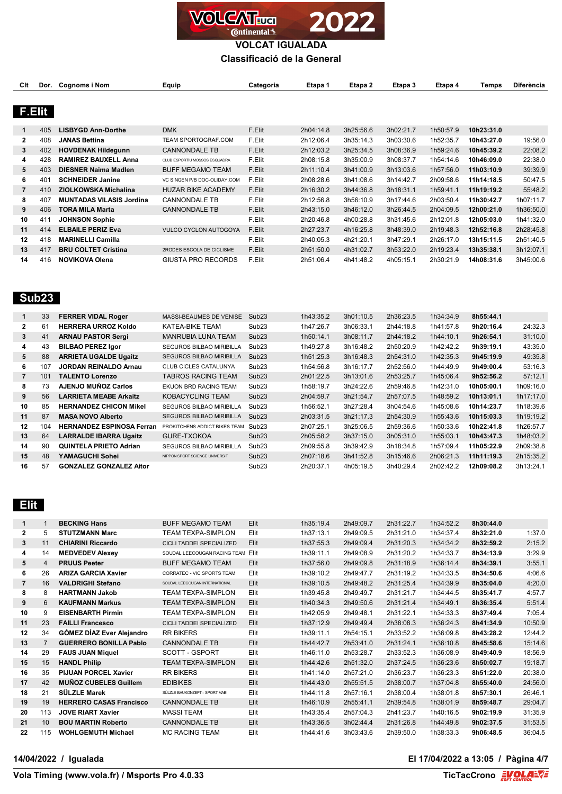

**VOLCAT IGUALADA**

**Classificació de la General**

| Clt            |                   | Dor. Cognoms i Nom              | Equip                         | Categoria | Etapa 1   | Etapa 2   | Etapa 3   | Etapa 4   | Temps      | Diferència |
|----------------|-------------------|---------------------------------|-------------------------------|-----------|-----------|-----------|-----------|-----------|------------|------------|
|                |                   |                                 |                               |           |           |           |           |           |            |            |
| F.Elit         |                   |                                 |                               |           |           |           |           |           |            |            |
|                |                   |                                 |                               |           |           |           |           |           |            |            |
| 1              | 405               | <b>LISBYGD Ann-Dorthe</b>       | <b>DMK</b>                    | F.Elit    | 2h04:14.8 | 3h25:56.6 | 3h02:21.7 | 1h50:57.9 | 10h23:31.0 |            |
| 2              | 408               | <b>JANAS Bettina</b>            | TEAM SPORTOGRAF.COM           | F.Elit    | 2h12:06.4 | 3h35:14.3 | 3h03:30.6 | 1h52:35.7 | 10h43:27.0 | 19:56.0    |
| 3              | 402               | <b>HOVDENAK Hildegunn</b>       | <b>CANNONDALE TB</b>          | F.Elit    | 2h12:03.2 | 3h25:34.5 | 3h08:36.9 | 1h59:24.6 | 10h45:39.2 | 22:08.2    |
| 4              | 428               | <b>RAMIREZ BAUXELL Anna</b>     | CLUB ESPORTIU MOSSOS ESQUADRA | F.Elit    | 2h08:15.8 | 3h35:00.9 | 3h08:37.7 | 1h54:14.6 | 10h46:09.0 | 22:38.0    |
| 5              | 403               | <b>DIESNER Naima Madlen</b>     | <b>BUFF MEGAMO TEAM</b>       | F.Elit    | 2h11:10.4 | 3h41:00.9 | 3h13:03.6 | 1h57:56.0 | 11h03:10.9 | 39:39.9    |
| 6              | 401               | <b>SCHNEIDER Janine</b>         | VC SINGEN P/B DOC-OLIDAY.COM  | F.Elit    | 2h08:28.6 | 3h41:08.6 | 3h14:42.7 | 2h09:58.6 | 11h14:18.5 | 50:47.5    |
| $\overline{7}$ | 410               | <b>ZIOLKOWSKA Michalina</b>     | <b>HUZAR BIKE ACADEMY</b>     | F.Elit    | 2h16:30.2 | 3h44:36.8 | 3h18:31.1 | 1h59:41.1 | 11h19:19.2 | 55:48.2    |
| 8              | 407               | <b>MUNTADAS VILASIS Jordina</b> | <b>CANNONDALE TB</b>          | F.Elit    | 2h12:56.8 | 3h56:10.9 | 3h17:44.6 | 2h03:50.4 | 11h30:42.7 | 1h07:11.7  |
| 9              | 406               | <b>TORA MILA Marta</b>          | <b>CANNONDALE TB</b>          | F.Elit    | 2h43:15.0 | 3h46:12.0 | 3h26:44.5 | 2h04:09.5 | 12h00:21.0 | 1h36:50.0  |
| 10             | 411               | <b>JOHNSON Sophie</b>           |                               | F.Elit    | 2h20:46.8 | 4h00:28.8 | 3h31:45.6 | 2h12:01.8 | 12h05:03.0 | 1h41:32.0  |
| 11             | 414               | <b>ELBAILE PERIZ Eva</b>        | <b>VULCO CYCLON AUTOGOYA</b>  | F.Elit    | 2h27:23.7 | 4h16:25.8 | 3h48:39.0 | 2h19:48.3 | 12h52:16.8 | 2h28:45.8  |
| 12             | 418               | <b>MARINELLI Camilla</b>        |                               | F.Elit    | 2h40:05.3 | 4h21:20.1 | 3h47:29.1 | 2h26:17.0 | 13h15:11.5 | 2h51:40.5  |
| 13             | 417               | <b>BRU COLTET Cristina</b>      | 2RODES ESCOLA DE CICLISME     | F.Elit    | 2h51:50.0 | 4h31:02.7 | 3h53:22.0 | 2h19:23.4 | 13h35:38.1 | 3h12:07.1  |
| 14             | 416               | <b>NOVIKOVA Olena</b>           | GIUSTA PRO RECORDS            | F.Elit    | 2h51:06.4 | 4h41:48.2 | 4h05:15.1 | 2h30:21.9 | 14h08:31.6 | 3h45:00.6  |
|                |                   |                                 |                               |           |           |           |           |           |            |            |
|                |                   |                                 |                               |           |           |           |           |           |            |            |
|                |                   |                                 |                               |           |           |           |           |           |            |            |
|                | Sub <sub>23</sub> |                                 |                               |           |           |           |           |           |            |            |

|                | 33  | <b>FERRER VIDAL Roger</b>        | <b>MASSI-BEAUMES DE VENISE</b>  | Sub <sub>23</sub> | 1h43:35.2 | 3h01:10.5 | 2h36:23.5 | 1h34:34.9 | 8h55:44.1  |           |
|----------------|-----|----------------------------------|---------------------------------|-------------------|-----------|-----------|-----------|-----------|------------|-----------|
| $\mathbf{2}$   | 61  | <b>HERRERA URROZ Koldo</b>       | KATEA-BIKE TEAM                 | Sub <sub>23</sub> | 1h47:26.7 | 3h06:33.1 | 2h44:18.8 | 1h41:57.8 | 9h20:16.4  | 24:32.3   |
| 3              | 41  | <b>ARNAU PASTOR Sergi</b>        | MANRUBIA LUNA TEAM              | Sub <sub>23</sub> | 1h50:14.1 | 3h08:11.7 | 2h44:18.2 | 1h44:10.1 | 9h26:54.1  | 31:10.0   |
| 4              | 43  | <b>BILBAO PEREZ Igor</b>         | <b>SEGUROS BILBAO MIRIBILLA</b> | Sub <sub>23</sub> | 1h49:27.8 | 3h16:48.2 | 2h50:20.9 | 1h42:42.2 | 9h39:19.1  | 43:35.0   |
| 5              | 88  | <b>ARRIETA UGALDE Ugaitz</b>     | <b>SEGUROS BILBAO MIRIBILLA</b> | Sub <sub>23</sub> | 1h51:25.3 | 3h16:48.3 | 2h54:31.0 | 1h42:35.3 | 9h45:19.9  | 49:35.8   |
| 6.             | 107 | <b>JORDAN REINALDO Arnau</b>     | <b>CLUB CICLES CATALUNYA</b>    | Sub <sub>23</sub> | 1h54:56.8 | 3h16:17.7 | 2h52:56.0 | 1h44:49.9 | 9h49:00.4  | 53:16.3   |
| $\overline{7}$ | 101 | <b>TALENTO Lorenzo</b>           | TABROS RACING TEAM              | Sub <sub>23</sub> | 2h01:22.5 | 3h13:01.6 | 2h53:25.7 | 1h45:06.4 | 9h52:56.2  | 57:12.1   |
| 8              | 73  | <b>AJENJO MUÑOZ Carlos</b>       | EKUON BRD RACING TEAM           | Sub <sub>23</sub> | 1h58:19.7 | 3h24:22.6 | 2h59:46.8 | 1h42:31.0 | 10h05:00.1 | 1h09:16.0 |
| 9              | 56  | <b>LARRIETA MEABE Arkaitz</b>    | KOBACYCLING TEAM                | Sub <sub>23</sub> | 2h04:59.7 | 3h21:54.7 | 2h57:07.5 | 1h48:59.2 | 10h13:01.1 | 1h17:17.0 |
| 10             | 85  | <b>HERNANDEZ CHICON Mikel</b>    | <b>SEGUROS BILBAO MIRIBILLA</b> | Sub <sub>23</sub> | 1h56:52.1 | 3h27:28.4 | 3h04:54.6 | 1h45:08.6 | 10h14:23.7 | 1h18:39.6 |
| 11             | 87  | <b>MASA NOVO Alberto</b>         | <b>SEGUROS BILBAO MIRIBILLA</b> | Sub <sub>23</sub> | 2h03:31.5 | 3h21:17.3 | 2h54:30.9 | 1h55:43.6 | 10h15:03.3 | 1h19:19.2 |
| 12             | 104 | <b>HERNANDEZ ESPINOSA Ferran</b> | PROKITCHENS ADDICT BIKES TEAM   | Sub <sub>23</sub> | 2h07:25.1 | 3h25:06.5 | 2h59:36.6 | 1h50:33.6 | 10h22:41.8 | 1h26:57.7 |
| 13             | 64  | <b>LARRALDE IBARRA Ugaitz</b>    | GURE-TXOKOA                     | Sub <sub>23</sub> | 2h05:58.2 | 3h37:15.0 | 3h05:31.0 | 1h55:03.1 | 10h43:47.3 | 1h48:03.2 |
| 14             | 90  | <b>QUINTELA PRIETO Adrian</b>    | <b>SEGUROS BILBAO MIRIBILLA</b> | Sub <sub>23</sub> | 2h09:55.8 | 3h39:42.9 | 3h18:34.8 | 1h57:09.4 | 11h05:22.9 | 2h09:38.8 |
| 15             | 48  | YAMAGUCHI Sohei                  | NIPPON SPORT SCIENCE UNIVERSIT  | Sub <sub>23</sub> | 2h07:18.6 | 3h41:52.8 | 3h15:46.6 | 2h06:21.3 | 11h11:19.3 | 2h15:35.2 |
| 16             | 57  | <b>GONZALEZ GONZALEZ Aitor</b>   |                                 | Sub <sub>23</sub> | 2h20:37.1 | 4h05:19.5 | 3h40:29.4 | 2h02:42.2 | 12h09:08.2 | 3h13:24.1 |

 **Elit** 

| 1              | $\mathbf{1}$   | <b>BECKING Hans</b>            | <b>BUFF MEGAMO TEAM</b>         | Elit | 1h35:19.4 | 2h49:09.7 | 2h31:22.7 | 1h34:52.2 | 8h30:44.0 |         |
|----------------|----------------|--------------------------------|---------------------------------|------|-----------|-----------|-----------|-----------|-----------|---------|
| 2              | 5              | <b>STUTZMANN Marc</b>          | TEAM TEXPA-SIMPLON              | Elit | 1h37:13.1 | 2h49:09.5 | 2h31:21.0 | 1h34:37.4 | 8h32:21.0 | 1:37.0  |
| 3              | 11             | <b>CHIARINI Riccardo</b>       | <b>CICLI TADDEI SPECIALIZED</b> | Elit | 1h37:55.3 | 2h49:09.4 | 2h31:20.3 | 1h34:34.2 | 8h32:59.2 | 2:15.2  |
| 4              | 14             | <b>MEDVEDEV Alexey</b>         | SOUDAL LEECOUGAN RACING TEAM    | Elit | 1h39:11.1 | 2h49:08.9 | 2h31:20.2 | 1h34:33.7 | 8h34:13.9 | 3:29.9  |
| 5              | 4              | <b>PRUUS Peeter</b>            | <b>BUFF MEGAMO TEAM</b>         | Elit | 1h37:56.0 | 2h49:09.8 | 2h31:18.9 | 1h36:14.4 | 8h34:39.1 | 3:55.1  |
| 6              | 26             | <b>ARIZA GARCIA Xavier</b>     | CORRATEC - VIC SPORTS TEAM      | Elit | 1h39:10.2 | 2h49:47.7 | 2h31:19.2 | 1h34:33.5 | 8h34:50.6 | 4:06.6  |
| $\overline{7}$ | 16             | <b>VALDRIGHI Stefano</b>       | SOUDAL LEECOUGAN INTERNATIONAL  | Elit | 1h39:10.5 | 2h49:48.2 | 2h31:25.4 | 1h34:39.9 | 8h35:04.0 | 4:20.0  |
| 8              | 8              | <b>HARTMANN Jakob</b>          | <b>TEAM TEXPA-SIMPLON</b>       | Elit | 1h39:45.8 | 2h49:49.7 | 2h31:21.7 | 1h34:44.5 | 8h35:41.7 | 4:57.7  |
| 9              | 6              | <b>KAUFMANN Markus</b>         | <b>TEAM TEXPA-SIMPLON</b>       | Elit | 1h40:34.3 | 2h49:50.6 | 2h31:21.4 | 1h34:49.1 | 8h36:35.4 | 5:51.4  |
| 10             | 9              | <b>EISENBARTH Pirmin</b>       | TEAM TEXPA-SIMPLON              | Elit | 1h42:05.9 | 2h49:48.1 | 2h31:22.1 | 1h34:33.3 | 8h37:49.4 | 7:05.4  |
| 11             | 23             | <b>FAILLI Francesco</b>        | <b>CICLI TADDEI SPECIALIZED</b> | Elit | 1h37:12.9 | 2h49:49.4 | 2h38:08.3 | 1h36:24.3 | 8h41:34.9 | 10:50.9 |
| 12             | 34             | GÓMEZ DÍAZ Ever Alejandro      | <b>RR BIKERS</b>                | Elit | 1h39:11.1 | 2h54:15.1 | 2h33:52.2 | 1h36:09.8 | 8h43:28.2 | 12:44.2 |
| 13             | $\overline{7}$ | <b>GUERRERO BONILLA Pablo</b>  | <b>CANNONDALE TB</b>            | Elit | 1h44:42.7 | 2h53:41.0 | 2h31:24.1 | 1h36:10.8 | 8h45:58.6 | 15:14.6 |
| 14             | 29             | <b>FAUS JUAN Miquel</b>        | SCOTT - GSPORT                  | Elit | 1h46:11.0 | 2h53:28.7 | 2h33:52.3 | 1h36:08.9 | 8h49:40.9 | 18:56.9 |
| 15             | 15             | <b>HANDL Philip</b>            | <b>TEAM TEXPA-SIMPLON</b>       | Elit | 1h44:42.6 | 2h51:32.0 | 2h37:24.5 | 1h36:23.6 | 8h50:02.7 | 19:18.7 |
| 16             | 35             | <b>PIJUAN PORCEL Xavier</b>    | <b>RR BIKERS</b>                | Elit | 1h41:14.0 | 2h57:21.0 | 2h36:23.7 | 1h36:23.3 | 8h51:22.0 | 20:38.0 |
| 17             | 42             | <b>MUÑOZ CUBELES Guillem</b>   | <b>EDIBIKES</b>                 | Elit | 1h44:43.0 | 2h55:51.5 | 2h38:00.7 | 1h37:04.8 | 8h55:40.0 | 24:56.0 |
| 18             | 21             | SÜLZLE Marek                   | SÜLZLE BAUKONZEPT - SPORT MABI  | Elit | 1h44:11.8 | 2h57:16.1 | 2h38:00.4 | 1h38:01.8 | 8h57:30.1 | 26:46.1 |
| 19             | 19             | <b>HERRERO CASAS Francisco</b> | <b>CANNONDALE TB</b>            | Elit | 1h46:10.9 | 2h55:41.1 | 2h39:54.8 | 1h38:01.9 | 8h59:48.7 | 29:04.7 |
| 20             | 113            | <b>JOVE RIART Xavier</b>       | <b>MASSI TEAM</b>               | Elit | 1h43:35.4 | 2h57:04.3 | 2h41:23.7 | 1h40:16.5 | 9h02:19.9 | 31:35.9 |
| 21             | 10             | <b>BOU MARTIN Roberto</b>      | <b>CANNONDALE TB</b>            | Elit | 1h43:36.5 | 3h02:44.4 | 2h31:26.8 | 1h44:49.8 | 9h02:37.5 | 31:53.5 |
| 22             | 115            | <b>WOHLGEMUTH Michael</b>      | <b>MC RACING TEAM</b>           | Elit | 1h44:41.6 | 3h03:43.6 | 2h39:50.0 | 1h38:33.3 | 9h06:48.5 | 36:04.5 |

**14/04/2022 / Igualada El 17/04/2022 a 13:05 / Pàgina 4/7**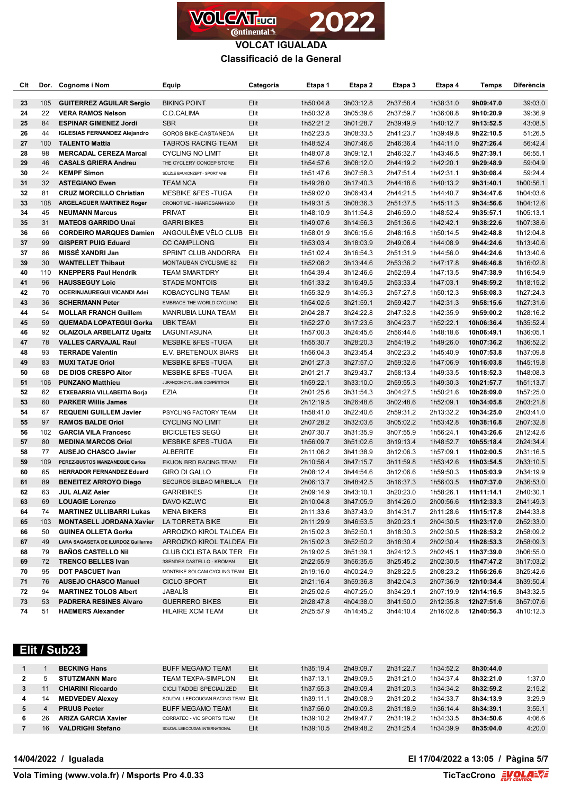

| Clt      |     | Dor. Cognoms i Nom                                     | Equip                             | Categoria    | Etapa 1   | Etapa 2   | Etapa 3   | Etapa 4   | <b>Temps</b>           | <b>Diferència</b>      |
|----------|-----|--------------------------------------------------------|-----------------------------------|--------------|-----------|-----------|-----------|-----------|------------------------|------------------------|
| 23       | 105 | <b>GUITERREZ AGUILAR Sergio</b>                        | <b>BIKING POINT</b>               | Elit         | 1h50:04.8 | 3h03:12.8 | 2h37:58.4 | 1h38:31.0 | 9h09:47.0              | 39:03.0                |
| 24       | 22  | <b>VERA RAMOS Nelson</b>                               | C.D.CALIMA                        | Elit         | 1h50:32.8 | 3h05:39.6 | 2h37:59.7 | 1h36:08.8 | 9h10:20.9              | 39:36.9                |
| 25       | 84  | <b>ESPINAR GIMENEZ Jordi</b>                           | <b>SBR</b>                        | Elit         | 1h52:21.2 | 3h01:28.7 | 2h39:49.9 | 1h40:12.7 | 9h13:52.5              | 43:08.5                |
| 26       | 44  | <b>IGLESIAS FERNANDEZ Alejandro</b>                    | GOROS BIKE-CASTAÑEDA              | Elit         | 1h52:23.5 | 3h08:33.5 | 2h41:23.7 | 1h39:49.8 | 9h22:10.5              | 51:26.5                |
| 27       | 100 | <b>TALENTO Mattia</b>                                  | <b>TABROS RACING TEAM</b>         | Elit         | 1h48:52.4 | 3h07:46.6 | 2h46:36.4 | 1h44:11.0 | 9h27:26.4              | 56:42.4                |
| 28       | 98  | <b>MERCADAL CEREZA Marcal</b>                          | <b>CYCLING NO LIMIT</b>           | Elit         | 1h48:07.8 | 3h09:12.1 | 2h46:32.7 | 1h43:46.5 | 9h27:39.1              | 56:55.1                |
| 29       | 46  | <b>CASALS GRIERA Andreu</b>                            | THE CYCLERY CONCEP STORE          | Elit         | 1h54:57.6 | 3h08:12.0 | 2h44:19.2 | 1h42:20.1 | 9h29:48.9              | 59:04.9                |
| 30       | 24  | <b>KEMPF Simon</b>                                     | SÜLZLE BAUKONZEPT - SPORT MABI    | Elit         | 1h51:47.6 | 3h07:58.3 | 2h47:51.4 | 1h42:31.1 | 9h30:08.4              | 59:24.4                |
| 31       | 32  | <b>ASTEGIANO Ewen</b>                                  | <b>TEAM NCA</b>                   | Elit         | 1h49:28.0 | 3h17:40.3 | 2h44:18.6 | 1h40:13.2 | 9h31:40.1              | 1h00:56.1              |
| 32       | 81  | <b>CRUZ MORCILLO Christian</b>                         | <b>MESBIKE &amp;FES-TUGA</b>      | Elit         | 1h59:02.0 | 3h06:43.4 | 2h44:21.5 | 1h44:40.7 | 9h34:47.6              | 1h04:03.6              |
| 33       | 108 | <b>ARGELAGUER MARTINEZ Roger</b>                       | CRONOTIME - MANRESANA1930         | Elit         | 1h49:31.5 | 3h08:36.3 | 2h51:37.5 | 1h45:11.3 | 9h34:56.6              | 1h04:12.6              |
| 34       | 45  | <b>NEUMANN Marcus</b>                                  | <b>PRIVAT</b>                     | Elit         | 1h48:10.9 | 3h11:54.8 | 2h46:59.0 | 1h48:52.4 | 9h35:57.1              | 1h05:13.1              |
| 35       | 31  | <b>MATEOS GARRIDO Unai</b>                             | <b>GARRI BIKES</b>                | Elit         | 1h49:07.6 | 3h14:56.3 | 2h51:36.6 | 1h42:42.1 | 9h38:22.6              | 1h07:38.6              |
| 36       | 66  | <b>CORDEIRO MARQUES Damien</b>                         | ANGOULÊME VÉLO CLUB Elit          |              | 1h58:01.9 | 3h06:15.6 | 2h48:16.8 | 1h50:14.5 | 9h42:48.8              | 1h12:04.8              |
| 37       | 99  | <b>GISPERT PUIG Eduard</b>                             | <b>CC CAMPLLONG</b>               | Elit         | 1h53:03.4 | 3h18:03.9 | 2h49:08.4 | 1h44:08.9 | 9h44:24.6              | 1h13:40.6              |
| 37       | 86  | <b>MISSE XANDRI Jan</b>                                | SPRINT CLUB ANDORRA               | Elit         | 1h51:02.4 | 3h16:54.3 | 2h51:31.9 | 1h44:56.0 | 9h44:24.6              | 1h13:40.6              |
| 39       | 30  | <b>WANTELLET Thibaut</b>                               | MONTAUBAN CYCLISME 82             | Elit         | 1h52:08.2 | 3h13:44.6 | 2h53:36.2 | 1h47:17.8 | 9h46:46.8              | 1h16:02.8              |
| 40       | 110 | <b>KNEPPERS Paul Hendrik</b>                           | <b>TEAM SMARTDRY</b>              | Elit         | 1h54:39.4 | 3h12:46.6 | 2h52:59.4 | 1h47:13.5 | 9h47:38.9              | 1h16:54.9              |
| 41       | 96  | <b>HAUSSEGUY Loic</b>                                  | <b>STADE MONTOIS</b>              | Elit         | 1h51:33.2 | 3h16:49.5 | 2h53:33.4 | 1h47:03.1 | 9h48:59.2              | 1h18:15.2              |
| 42       | 70  | OCERINJAUREGUI VICANDI Adei                            | KOBACYCLING TEAM                  | Elit         | 1h55:32.9 | 3h14:55.3 | 2h57:27.8 | 1h50:12.3 | 9h58:08.3              |                        |
|          | 36  |                                                        |                                   |              |           |           |           |           |                        | 1h27:24.3<br>1h27:31.6 |
| 43<br>44 | 54  | <b>SCHERMANN Peter</b><br><b>MOLLAR FRANCH Guillem</b> | EMBRACE THE WORLD CYCLING         | Elit<br>Elit | 1h54:02.5 | 3h21:59.1 | 2h59:42.7 | 1h42:31.3 | 9h58:15.6<br>9h59:00.2 |                        |
|          |     |                                                        | MANRUBIA LUNA TEAM                |              | 2h04:28.7 | 3h24:22.8 | 2h47:32.8 | 1h42:35.9 |                        | 1h28:16.2              |
| 45       | 59  | <b>QUEMADA LOPATEGUI Gorka</b>                         | <b>UBK TEAM</b>                   | Elit         | 1h52:27.0 | 3h17:23.6 | 3h04:23.7 | 1h52:22.1 | 10h06:36.4             | 1h35:52.4              |
| 46       | 92  | <b>OLAIZOLA ARBELAITZ Ugaitz</b>                       | LAGUNTASUNA                       | Elit         | 1h57:00.3 | 3h24:45.6 | 2h56:44.6 | 1h48:18.6 | 10h06:49.1             | 1h36:05.1              |
| 47       | 78  | <b>VALLES CARVAJAL Raul</b>                            | <b>MESBIKE &amp;FES-TUGA</b>      | Elit         | 1h55:30.7 | 3h28:20.3 | 2h54:19.2 | 1h49:26.0 | 10h07:36.2             | 1h36:52.2              |
| 48       | 93  | <b>TERRADE Valentin</b>                                | E.V. BRETENOUX BIARS              | Elit         | 1h56:04.3 | 3h23:45.4 | 3h02:23.2 | 1h45:40.9 | 10h07:53.8             | 1h37:09.8              |
| 49       | 83  | <b>MUXI TATJE Oriol</b>                                | <b>MESBIKE &amp;FES-TUGA</b>      | Elit         | 2h01:27.3 | 3h27:57.0 | 2h59:32.6 | 1h47:06.9 | 10h16:03.8             | 1h45:19.8              |
| 50       | 68  | DE DIOS CRESPO Aitor                                   | <b>MESBIKE &amp;FES-TUGA</b>      | Elit         | 2h01:21.7 | 3h29:43.7 | 2h58:13.4 | 1h49:33.5 | 10h18:52.3             | 1h48:08.3              |
| 51       | 106 | <b>PUNZANO Matthieu</b>                                | JURANÇON CYCLISME COMPÉTITION     | Elit         | 1h59:22.1 | 3h33:10.0 | 2h59:55.3 | 1h49:30.3 | 10h21:57.7             | 1h51:13.7              |
| 52       | 62  | ETXEBARRIA VILLABEITIA Borja                           | <b>EZIA</b>                       | Elit         | 2h01:25.6 | 3h31:54.3 | 3h04:27.5 | 1h50:21.6 | 10h28:09.0             | 1h57:25.0              |
| 53       | 60  | <b>PARKER Willis James</b>                             |                                   | Elit         | 2h12:19.5 | 3h26:48.6 | 3h02:48.6 | 1h52:09.1 | 10h34:05.8             | 2h03:21.8              |
| 54       | 67  | <b>REQUENI GUILLEM Javier</b>                          | PSYCLING FACTORY TEAM             | Elit         | 1h58:41.0 | 3h22:40.6 | 2h59:31.2 | 2h13:32.2 | 10h34:25.0             | 2h03:41.0              |
| 55       | 97  | <b>RAMOS BALDE Oriol</b>                               | <b>CYCLING NO LIMIT</b>           | Elit         | 2h07:28.2 | 3h32:03.6 | 3h05:02.2 | 1h53:42.8 | 10h38:16.8             | 2h07:32.8              |
| 56       | 102 | <b>GARCIA VILA Francesc</b>                            | <b>BICICLETES SEGU</b>            | Elit         | 2h07:30.7 | 3h31:35.9 | 3h07:55.9 | 1h56:24.1 | 10h43:26.6             | 2h12:42.6              |
| 57       | 80  | <b>MEDINA MARCOS Oriol</b>                             | <b>MESBIKE &amp;FES-TUGA</b>      | Elit         | 1h56:09.7 | 3h51:02.6 | 3h19:13.4 | 1h48:52.7 | 10h55:18.4             | 2h24:34.4              |
| 58       | 77  | <b>AUSEJO CHASCO Javier</b>                            | <b>ALBERITE</b>                   | Elit         | 2h11:06.2 | 3h41:38.9 | 3h12:06.3 | 1h57:09.1 | 11h02:00.5             | 2h31:16.5              |
| 59       | 109 | PEREZ-BUSTOS MANZANEQUE Carlos                         | EKUON BRD RACING TEAM             | Elit         | 2h10:56.4 | 3h47:15.7 | 3h11:59.8 | 1h53:42.6 | 11h03:54.5             | 2h33:10.5              |
| 60       | 65  | <b>HERRADOR FERNANDEZ Eduard</b>                       | <b>GIRO DI GALLO</b>              | Elit         | 2h08:12.4 | 3h44:54.6 | 3h12:06.6 | 1h59:50.3 | 11h05:03.9             | 2h34:19.9              |
| 61       | 89  | <b>BENEITEZ ARROYO Diego</b>                           | SEGUROS BILBAO MIRIBILLA          | Elit         | 2h06:13.7 | 3h48:42.5 | 3h16:37.3 | 1h56:03.5 | 11h07:37.0             | 2h36:53.0              |
| 62       | 63  | <b>JUL ALAIZ Asier</b>                                 | <b>GARRIBIKES</b>                 | Elit         | 2h09:14.9 | 3h43:10.1 | 3h20:23.0 | 1h58:26.1 | 11h11:14.1             | 2h40:30.1              |
| 63       | 69  | <b>LOUAGIE Lorenzo</b>                                 | DAVO KZLWC                        | Elit         | 2h10:04.8 | 3h47:05.9 | 3h14:26.0 |           | 2h00:56.6 11h12:33.3   | 2h41:49.3              |
| 64       | 74  | <b>MARTINEZ ULLIBARRI Lukas</b>                        | <b>MENA BIKERS</b>                | Elit         | 2h11:33.6 | 3h37:43.9 | 3h14:31.7 | 2h11:28.6 | 11h15:17.8             | 2h44:33.8              |
| 65       | 103 | <b>MONTASELL JORDANA Xavier</b>                        | LA TORRETA BIKE                   | Elit         | 2h11:29.9 | 3h46:53.5 | 3h20:23.1 | 2h04:30.5 | 11h23:17.0             | 2h52:33.0              |
| 66       | 50  | <b>GUINEA OLLETA Gorka</b>                             | ARROIZKO KIROL TALDEA EIIt        |              | 2h15:02.3 | 3h52:50.1 | 3h18:30.3 | 2h02:30.5 | 11h28:53.2             | 2h58:09.2              |
| 67       | 49  | LARA SAGASETA DE ILURDOZ Guillermo                     | ARROIZKO KIROL TALDEA Elit        |              | 2h15:02.3 | 3h52:50.2 | 3h18:30.4 | 2h02:30.4 | 11h28:53.3             | 2h58:09.3              |
| 68       | 79  | <b>BAÑOS CASTELLO NII</b>                              | CLUB CICLISTA BAIX TER Elit       |              | 2h19:02.5 | 3h51:39.1 | 3h24:12.3 | 2h02:45.1 | 11h37:39.0             | 3h06:55.0              |
| 69       | 72  | <b>TRENCO BELLES Ivan</b>                              | 3SENDES CASTELLO - KROMAN         | Elit         | 2h22:55.9 | 3h56:35.6 | 3h25:45.2 | 2h02:30.5 | 11h47:47.2             | 3h17:03.2              |
| 70       | 95  | <b>DOT PASCUET Ivan</b>                                | MONTBIKE SOLCAM CYCLING TEAM Elit |              | 2h19:16.0 | 4h00:24.9 | 3h28:22.5 | 2h08:23.2 | 11h56:26.6             | 3h25:42.6              |
| 71       | 76  | <b>AUSEJO CHASCO Manuel</b>                            | CICLO SPORT                       | Elit         | 2h21:16.4 | 3h59:36.8 | 3h42:04.3 | 2h07:36.9 | 12h10:34.4             | 3h39:50.4              |
| 72       | 94  | <b>MARTINEZ TOLOS Albert</b>                           | JABALÍS                           | Elit         | 2h25:02.5 | 4h07:25.0 | 3h34:29.1 | 2h07:19.9 | 12h14:16.5             | 3h43:32.5              |
| 73       | 53  | <b>PADRERA RESINES Alvaro</b>                          | <b>GUERRERO BIKES</b>             | Elit         | 2h28:47.8 | 4h04:38.0 | 3h41:50.0 | 2h12:35.8 | 12h27:51.6             | 3h57:07.6              |
| 74       | 51  | <b>HAEMERS Alexander</b>                               | <b>HILAIRE XCM TEAM</b>           | Elit         | 2h25:57.9 | 4h14:45.2 | 3h44:10.4 | 2h16:02.8 | 12h40:56.3             | 4h10:12.3              |

# **Elit / Sub23**

|   |    | <b>BECKING Hans</b>        | <b>BUFF MEGAMO TEAM</b>           | <b>Elit</b> | 1h35:19.4 | 2h49:09.7 | 2h31:22.7 | 1h34:52.2 | 8h30:44.0 |        |
|---|----|----------------------------|-----------------------------------|-------------|-----------|-----------|-----------|-----------|-----------|--------|
|   |    | <b>STUTZMANN Marc</b>      | <b>TEAM TEXPA-SIMPLON</b>         | Elit        | 1h37:13.1 | 2h49:09.5 | 2h31:21.0 | 1h34:37.4 | 8h32:21.0 | 1:37.0 |
|   |    | <b>CHIARINI Riccardo</b>   | CICLI TADDEI SPECIALIZED          | Elit        | 1h37:55.3 | 2h49:09.4 | 2h31:20.3 | 1h34:34.2 | 8h32:59.2 | 2:15.2 |
| 4 | 14 | <b>MEDVEDEV Alexev</b>     | SOUDAL LEECOUGAN RACING TEAM Flit |             | 1h39:11.1 | 2h49:08.9 | 2h31:20.2 | 1h34:33.7 | 8h34:13.9 | 3:29.9 |
|   |    | <b>PRUUS Peeter</b>        | <b>BUFF MEGAMO TEAM</b>           | <b>Elit</b> | 1h37:56.0 | 2h49:09.8 | 2h31:18.9 | 1h36:14.4 | 8h34:39.1 | 3:55.1 |
| 6 | 26 | <b>ARIZA GARCIA Xavier</b> | CORRATEC - VIC SPORTS TEAM        | Elit        | 1h39:10.2 | 2h49:47.7 | 2h31:19.2 | 1h34:33.5 | 8h34:50.6 | 4:06.6 |
|   | 16 | <b>VALDRIGHI Stefano</b>   | SOUDAL LEECOUGAN INTERNATIONAL    | <b>Elit</b> | 1h39:10.5 | 2h49:48.2 | 2h31:25.4 | 1h34:39.9 | 8h35:04.0 | 4:20.0 |

### **14/04/2022 / Igualada El 17/04/2022 a 13:05 / Pàgina 5/7**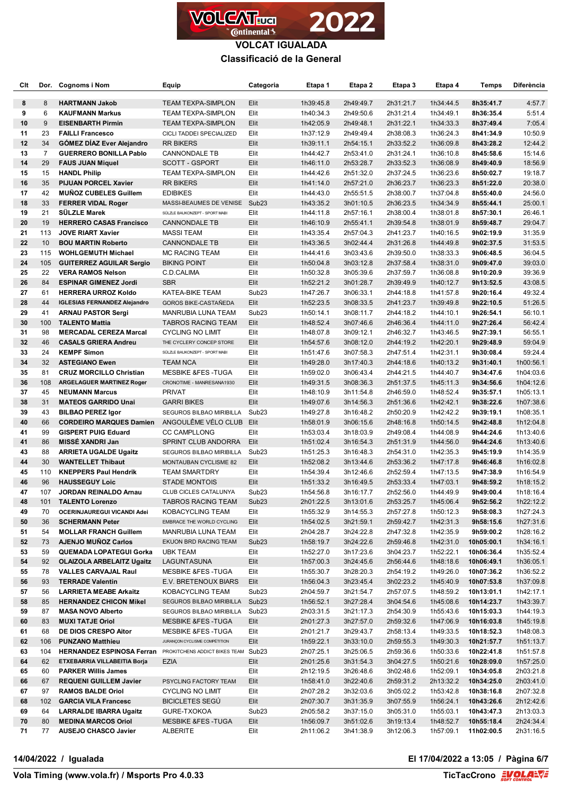

| Clt      |                | Dor. Cognoms i Nom                                    | Equip                                                    | Categoria                 | Etapa 1                | Etapa 2                | Etapa 3                | Etapa 4                | <b>Temps</b>             | <b>Diferència</b>      |
|----------|----------------|-------------------------------------------------------|----------------------------------------------------------|---------------------------|------------------------|------------------------|------------------------|------------------------|--------------------------|------------------------|
| 8        | 8              | <b>HARTMANN Jakob</b>                                 | <b>TEAM TEXPA-SIMPLON</b>                                | Elit                      | 1h39:45.8              | 2h49:49.7              | 2h31:21.7              | 1h34:44.5              | 8h35:41.7                | 4:57.7                 |
| 9        | 6              | <b>KAUFMANN Markus</b>                                | <b>TEAM TEXPA-SIMPLON</b>                                | Elit                      | 1h40:34.3              | 2h49:50.6              | 2h31:21.4              | 1h34:49.1              | 8h36:35.4                | 5:51.4                 |
| 10       | 9              | <b>EISENBARTH Pirmin</b>                              | <b>TEAM TEXPA-SIMPLON</b>                                | Elit                      | 1h42:05.9              | 2h49:48.1              | 2h31:22.1              | 1h34:33.3              | 8h37:49.4                | 7:05.4                 |
| 11       | 23             | <b>FAILLI Francesco</b>                               | CICLI TADDEI SPECIALIZED                                 | Elit                      | 1h37:12.9              | 2h49:49.4              | 2h38:08.3              | 1h36:24.3              | 8h41:34.9                | 10:50.9                |
| 12       | 34             | <b>GOMEZ DIAZ Ever Alejandro</b>                      | RR BIKERS                                                | Elit                      | 1h39:11.1              | 2h54:15.1              | 2h33:52.2              | 1h36:09.8              | 8h43:28.2                | 12:44.2                |
| 13       | $\overline{7}$ | <b>GUERRERO BONILLA Pablo</b>                         | CANNONDALE TB                                            | Elit                      | 1h44:42.7              | 2h53:41.0              | 2h31:24.1              | 1h36:10.8              | 8h45:58.6                | 15:14.6                |
| 14       | 29             | <b>FAUS JUAN Miquel</b>                               | SCOTT - GSPORT                                           | Elit                      | 1h46:11.0              | 2h53:28.7              | 2h33:52.3              | 1h36:08.9              | 8h49:40.9                | 18:56.9                |
| 15       | 15             | <b>HANDL Philip</b>                                   | TEAM TEXPA-SIMPLON                                       | Elit                      | 1h44:42.6              | 2h51:32.0              | 2h37:24.5              | 1h36:23.6              | 8h50:02.7                | 19:18.7                |
| 16       | 35             | <b>PIJUAN PORCEL Xavier</b>                           | <b>RR BIKERS</b>                                         | Elit                      | 1h41:14.0              | 2h57:21.0              | 2h36:23.7              | 1h36:23.3              | 8h51:22.0                | 20:38.0                |
| 17       | 42             | <b>MUNOZ CUBELES Guillem</b>                          | <b>EDIBIKES</b>                                          | Elit                      | 1h44:43.0              | 2h55:51.5              | 2h38:00.7              | 1h37:04.8              | 8h55:40.0                | 24:56.0                |
| 18       | 33             | <b>FERRER VIDAL Roger</b><br>SÜLZLE Marek             | MASSI-BEAUMES DE VENISE Sub23                            |                           | 1h43:35.2              | 3h01:10.5              | 2h36:23.5              | 1h34:34.9              | 8h55:44.1                | 25:00.1                |
| 19       | 21             |                                                       | SÜLZLE BAUKONZEPT - SPORT MABI                           | Elit                      | 1h44:11.8              | 2h57:16.1              | 2h38:00.4              | 1h38:01.8              | 8h57:30.1                | 26:46.1                |
| 20       | 19             | <b>HERRERO CASAS Francisco</b>                        | <b>CANNONDALE TB</b>                                     | Elit                      | 1h46:10.9              | 2h55:41.1              | 2h39:54.8              | 1h38:01.9              | 8h59:48.7                | 29:04.7                |
| 21<br>22 | 113<br>10      | <b>JOVE RIART Xavier</b><br><b>BOU MARTIN Roberto</b> | <b>MASSI TEAM</b>                                        | Elit<br>Elit              | 1h43:35.4              | 2h57:04.3<br>3h02:44.4 | 2h41:23.7              | 1h40:16.5              | 9h02:19.9                | 31:35.9                |
| 23       | 115            | <b>WOHLGEMUTH Michael</b>                             | <b>CANNONDALE TB</b><br><b>MC RACING TEAM</b>            | Elit                      | 1h43:36.5<br>1h44:41.6 | 3h03:43.6              | 2h31:26.8<br>2h39:50.0 | 1h44:49.8<br>1h38:33.3 | 9h02:37.5                | 31:53.5<br>36:04.5     |
| 24       | 105            | <b>GUITERREZ AGUILAR Sergio</b>                       | <b>BIKING POINT</b>                                      | Elit                      | 1h50:04.8              | 3h03:12.8              | 2h37:58.4              | 1h38:31.0              | 9h06:48.5<br>9h09:47.0   | 39:03.0                |
| 25       | 22             | <b>VERA RAMOS Nelson</b>                              | C.D.CALIMA                                               | Elit                      | 1h50:32.8              | 3h05:39.6              | 2h37:59.7              | 1h36:08.8              | 9h10:20.9                | 39:36.9                |
| 26       | 84             | <b>ESPINAR GIMENEZ Jordi</b>                          | <b>SBR</b>                                               | Elit                      | 1h52:21.2              | 3h01:28.7              | 2h39:49.9              | 1h40:12.7              | 9h13:52.5                | 43:08.5                |
| 27       | 61             | <b>HERRERA URROZ Koldo</b>                            | KATEA-BIKE TEAM                                          | Sub <sub>23</sub>         | 1h47:26.7              | 3h06:33.1              | 2h44:18.8              | 1h41:57.8              | 9h20:16.4                | 49:32.4                |
| 28       | 44             | <b>IGLESIAS FERNANDEZ Alejandro</b>                   | GOROS BIKE-CASTAÑEDA                                     | Elit                      | 1h52:23.5              | 3h08:33.5              | 2h41:23.7              | 1h39:49.8              | 9h22:10.5                | 51:26.5                |
| 29       | 41             | <b>ARNAU PASTOR Sergi</b>                             | MANRUBIA LUNA TEAM                                       | Sub <sub>23</sub>         | 1h50:14.1              | 3h08:11.7              | 2h44:18.2              | 1h44:10.1              | 9h26:54.1                | 56:10.1                |
| 30       | 100            | <b>TALENTO Mattia</b>                                 | <b>TABROS RACING TEAM</b>                                | Elit                      | 1h48:52.4              | 3h07:46.6              | 2h46:36.4              | 1h44:11.0              | 9h27:26.4                | 56:42.4                |
| 31       | 98             | <b>MERCADAL CEREZA Marcal</b>                         | <b>CYCLING NO LIMIT</b>                                  | Elit                      | 1h48:07.8              | 3h09:12.1              | 2h46:32.7              | 1h43:46.5              | 9h27:39.1                | 56:55.1                |
| 32       | 46             | <b>CASALS GRIERA Andreu</b>                           | THE CYCLERY CONCEP STORE                                 | Elit                      | 1h54:57.6              | 3h08:12.0              | 2h44:19.2              | 1h42:20.1              | 9h29:48.9                | 59:04.9                |
| 33       | 24             | <b>KEMPF Simon</b>                                    | SÜLZLE BAUKONZEPT - SPORT MABI                           | Elit                      | 1h51:47.6              | 3h07:58.3              | 2h47:51.4              | 1h42:31.1              | 9h30:08.4                | 59:24.4                |
| 34       | 32             | <b>ASTEGIANO Ewen</b>                                 | <b>TEAM NCA</b>                                          | Elit                      | 1h49:28.0              | 3h17:40.3              | 2h44:18.6              | 1h40:13.2              | 9h31:40.1                | 1h00:56.1              |
| 35       | 81             | <b>CRUZ MORCILLO Christian</b>                        | <b>MESBIKE &amp;FES-TUGA</b>                             | Elit                      | 1h59:02.0              | 3h06:43.4              | 2h44:21.5              | 1h44:40.7              | 9h34:47.6                | 1h04:03.6              |
| 36       | 108            | <b>ARGELAGUER MARTINEZ Roger</b>                      | CRONOTIME - MANRESANA1930                                | Elit                      | 1h49:31.5              | 3h08:36.3              | 2h51:37.5              | 1h45:11.3              | 9h34:56.6                | 1h04:12.6              |
| 37       | 45             | <b>NEUMANN Marcus</b>                                 | <b>PRIVAT</b>                                            | Elit                      | 1h48:10.9              | 3h11:54.8              | 2h46:59.0              | 1h48:52.4              | 9h35:57.1                | 1h05:13.1              |
| 38       | 31             | <b>MATEOS GARRIDO Unai</b>                            | <b>GARRI BIKES</b>                                       | Elit                      | 1h49:07.6              | 3h14:56.3              | 2h51:36.6              | 1h42:42.1              | 9h38:22.6                | 1h07:38.6              |
| 39       | 43             | <b>BILBAO PEREZ Igor</b>                              | SEGUROS BILBAO MIRIBILLA                                 | Sub <sub>23</sub>         | 1h49:27.8              | 3h16:48.2              | 2h50:20.9              | 1h42:42.2              | 9h39:19.1                | 1h08:35.1              |
| 40       | 66             | <b>CORDEIRO MARQUES Damien</b>                        | ANGOULÊME VÉLO CLUB Elit                                 |                           | 1h58:01.9              | 3h06:15.6              | 2h48:16.8              | 1h50:14.5              | 9h42:48.8                | 1h12:04.8              |
| 41       | 99             | <b>GISPERT PUIG Eduard</b>                            | <b>CC CAMPLLONG</b>                                      | Elit                      | 1h53:03.4              | 3h18:03.9              | 2h49:08.4              | 1h44:08.9              | 9h44:24.6                | 1h13:40.6              |
| 41       | 86             | <b>MISSE XANDRI Jan</b>                               | SPRINT CLUB ANDORRA                                      | Elit                      | 1h51:02.4              | 3h16:54.3              | 2h51:31.9              | 1h44:56.0              | 9h44:24.6                | 1h13:40.6              |
| 43       | 88             | <b>ARRIETA UGALDE Ugaitz</b>                          | SEGUROS BILBAO MIRIBILLA                                 | Sub <sub>23</sub>         | 1h51:25.3              | 3h16:48.3              | 2h54:31.0              | 1h42:35.3              | 9h45:19.9                | 1h14:35.9              |
| 44       | 30             | <b>WANTELLET Thibaut</b>                              | <b>MONTAUBAN CYCLISME 82</b>                             | Elit                      | 1h52:08.2              | 3h13:44.6              | 2h53:36.2              | 1h47:17.8              | 9h46:46.8                | 1h16:02.8              |
| 45       | 110            | <b>KNEPPERS Paul Hendrik</b>                          | <b>TEAM SMARTDRY</b>                                     | Elit                      | 1h54:39.4              | 3h12:46.6              | 2h52:59.4              | 1h47:13.5              | 9h47:38.9                | 1h16:54.9              |
| 46       | 96             | <b>HAUSSEGUY Loic</b>                                 | <b>STADE MONTOIS</b>                                     | Elit                      | 1h51:33.2              | 3h16:49.5              | 2h53:33.4              | 1h47:03.1              | 9h48:59.2                | 1h18:15.2              |
| 47       | 107            | <b>JORDAN REINALDO Arnau</b>                          | CLUB CICLES CATALUNYA                                    | Sub <sub>23</sub>         | 1h54:56.8              | 3h16:17.7              | 2h52:56.0              | 1h44:49.9              | 9h49:00.4                | 1h18:16.4              |
| 48       | 101            | <b>TALENTO Lorenzo</b>                                | TABROS RACING TEAM                                       | Sub <sub>23</sub>         | 2h01:22.5              | 3h13:01.6              | 2h53:25.7              | 1h45:06.4              | 9h52:56.2                | 1h22:12.2              |
| 49       | 70             | OCERINJAUREGUI VICANDI Adei                           | KOBACYCLING TEAM                                         | Elit                      | 1h55:32.9              | 3h14:55.3              | 2h57:27.8              | 1h50:12.3              | 9h58:08.3                | 1h27:24.3              |
| 50       | 36             | <b>SCHERMANN Peter</b>                                | EMBRACE THE WORLD CYCLING                                | Elit                      | 1h54:02.5              | 3h21:59.1              | 2h59:42.7              | 1h42:31.3              | 9h58:15.6                | 1h27:31.6              |
| 51       | 54             | <b>MOLLAR FRANCH Guillem</b>                          | MANRUBIA LUNA TEAM                                       | Elit                      | 2h04:28.7              | 3h24:22.8              | 2h47:32.8              | 1h42:35.9              | 9h59:00.2                | 1h28:16.2              |
| 52       | 73             | <b>AJENJO MUNOZ Carlos</b>                            | EKUON BRD RACING TEAM                                    | Sub <sub>23</sub>         | 1h58:19.7              | 3h24:22.6              | 2h59:46.8              | 1h42:31.0              | 10h05:00.1               | 1h34:16.1              |
| 53       | 59             | <b>QUEMADA LOPATEGUI Gorka</b>                        | <b>UBK TEAM</b>                                          | Elit                      | 1h52:27.0              | 3h17:23.6              | 3h04:23.7              | 1h52:22.1              | 10h06:36.4               | 1h35:52.4              |
| 54       | 92             | <b>OLAIZOLA ARBELAITZ Ugaitz</b>                      | LAGUNTASUNA                                              | Elit                      | 1h57:00.3              | 3h24:45.6              | 2h56:44.6              | 1h48:18.6              | 10h06:49.1               | 1h36:05.1              |
| 55       | 78             | <b>VALLES CARVAJAL Raul</b>                           | <b>MESBIKE &amp;FES-TUGA</b>                             | Elit                      | 1h55:30.7              | 3h28:20.3              | 2h54:19.2              | 1h49:26.0              | 10h07:36.2               | 1h36:52.2              |
| 56       | 93             | <b>TERRADE Valentin</b>                               | E.V. BRETENOUX BIARS                                     | Elit                      | 1h56:04.3              | 3h23:45.4              | 3h02:23.2              | 1h45:40.9              | 10h07:53.8               | 1h37:09.8              |
| 57       | 56             | <b>LARRIETA MEABE Arkaitz</b>                         | KOBACYCLING TEAM                                         | Sub <sub>23</sub>         | 2h04:59.7              | 3h21:54.7              | 2h57:07.5              | 1h48:59.2              | 10h13:01.1               | 1h42:17.1              |
| 58       | 85             | <b>HERNANDEZ CHICON Mikel</b>                         | SEGUROS BILBAO MIRIBILLA                                 | Sub <sub>23</sub>         | 1h56:52.1              | 3h27:28.4              | 3h04:54.6              | 1h45:08.6              | 10h14:23.7               | 1h43:39.7              |
| 59<br>60 | 87<br>83       | <b>MASA NOVO Alberto</b><br><b>MUXI TATJE Oriol</b>   | SEGUROS BILBAO MIRIBILLA<br><b>MESBIKE &amp;FES-TUGA</b> | Sub <sub>23</sub><br>Elit | 2h03:31.5              | 3h21:17.3              | 2h54:30.9<br>2h59:32.6 | 1h55:43.6<br>1h47:06.9 | 10h15:03.3               | 1h44:19.3              |
| 61       | 68             | DE DIOS CRESPO Aitor                                  | MESBIKE &FES-TUGA                                        | Elit                      | 2h01:27.3<br>2h01:21.7 | 3h27:57.0<br>3h29:43.7 | 2h58:13.4              | 1h49:33.5              | 10h16:03.8<br>10h18:52.3 | 1h45:19.8<br>1h48:08.3 |
| 62       | 106            | <b>PUNZANO Matthieu</b>                               | JURANÇON CYCLISME COMPÉTITION                            | Elit                      | 1h59:22.1              | 3h33:10.0              | 2h59:55.3              | 1h49:30.3              | 10h21:57.7               | 1h51:13.7              |
| 63       | 104            | <b>HERNANDEZ ESPINOSA Ferran</b>                      | PROKITCHENS ADDICT BIKES TEAM Sub23                      |                           | 2h07:25.1              | 3h25:06.5              | 2h59:36.6              | 1h50:33.6              | 10h22:41.8               | 1h51:57.8              |
| 64       | 62             | ETXEBARRIA VILLABEITIA Borja                          | EZIA                                                     | Elit                      | 2h01:25.6              | 3h31:54.3              | 3h04:27.5              | 1h50:21.6              | 10h28:09.0               | 1h57:25.0              |
| 65       | 60             | <b>PARKER Willis James</b>                            |                                                          | Elit                      | 2h12:19.5              | 3h26:48.6              | 3h02:48.6              | 1h52:09.1              | 10h34:05.8               | 2h03:21.8              |
| 66       | 67             | <b>REQUENI GUILLEM Javier</b>                         | PSYCLING FACTORY TEAM                                    | Elit                      | 1h58:41.0              | 3h22:40.6              | 2h59:31.2              | 2h13:32.2              | 10h34:25.0               | 2h03:41.0              |
| 67       | 97             | <b>RAMOS BALDE Oriol</b>                              | <b>CYCLING NO LIMIT</b>                                  | Elit                      | 2h07:28.2              | 3h32:03.6              | 3h05:02.2              | 1h53:42.8              | 10h38:16.8               | 2h07:32.8              |
| 68       | 102            | <b>GARCIA VILA Francesc</b>                           | <b>BICICLETES SEGU</b>                                   | Elit                      | 2h07:30.7              | 3h31:35.9              | 3h07:55.9              | 1h56:24.1              | 10h43:26.6               | 2h12:42.6              |
| 69       | 64             | <b>LARRALDE IBARRA Ugaitz</b>                         | GURE-TXOKOA                                              | Sub <sub>23</sub>         | 2h05:58.2              | 3h37:15.0              | 3h05:31.0              | 1h55:03.1              | 10h43:47.3               | 2h13:03.3              |
| 70       | 80             | <b>MEDINA MARCOS Oriol</b>                            | <b>MESBIKE &amp;FES-TUGA</b>                             | Elit                      | 1h56:09.7              | 3h51:02.6              | 3h19:13.4              | 1h48:52.7              | 10h55:18.4               | 2h24:34.4              |
| 71       | 77             | <b>AUSEJO CHASCO Javier</b>                           | ALBERITE                                                 | Elit                      | 2h11:06.2              | 3h41:38.9              | 3h12:06.3              | 1h57:09.1              | 11h02:00.5               | 2h31:16.5              |
|          |                |                                                       |                                                          |                           |                        |                        |                        |                        |                          |                        |

**14/04/2022 / Igualada El 17/04/2022 a 13:05 / Pàgina 6/7**